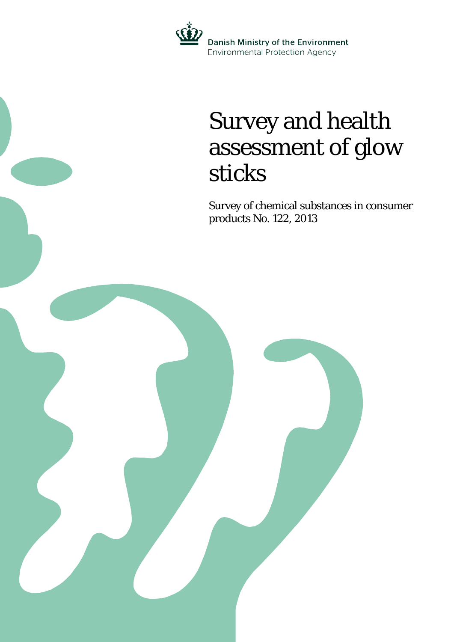

## Survey and health assessment of glow sticks

Survey of chemical substances in consumer products No. 122, 2013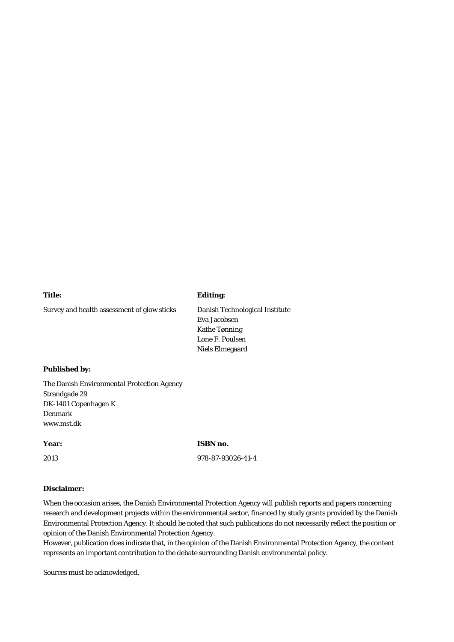#### **Title:**

#### **Editing:**

Survey and health assessment of glow sticks

Danish Technological Institute Eva Jacobsen Kathe Tønning Lone F. Poulsen Niels Elmegaard

#### **Published by:**

The Danish Environmental Protection Agency Strandgade 29 DK-1401 Copenhagen K Denmark www.mst.dk

#### **Year:**

**ISBN no.**

2013

978-87-93026-41-4

#### **Disclaimer:**

When the occasion arises, the Danish Environmental Protection Agency will publish reports and papers concerning research and development projects within the environmental sector, financed by study grants provided by the Danish Environmental Protection Agency. It should be noted that such publications do not necessarily reflect the position or opinion of the Danish Environmental Protection Agency.

However, publication does indicate that, in the opinion of the Danish Environmental Protection Agency, the content represents an important contribution to the debate surrounding Danish environmental policy.

Sources must be acknowledged.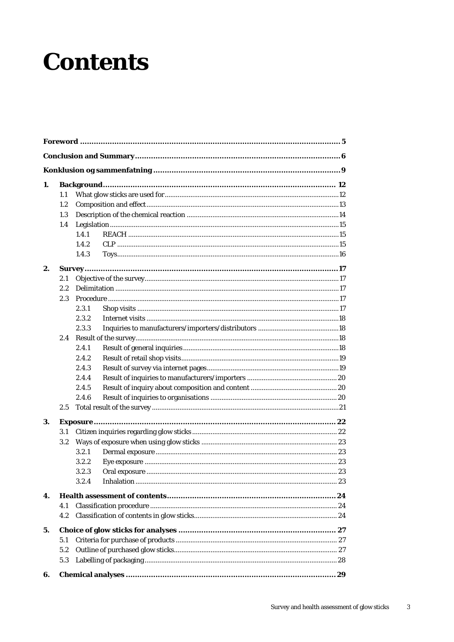## **Contents**

| 1. |     |       |  |  |  |  |
|----|-----|-------|--|--|--|--|
|    | 1.1 |       |  |  |  |  |
|    | 1.2 |       |  |  |  |  |
|    | 1.3 |       |  |  |  |  |
|    | 1.4 |       |  |  |  |  |
|    |     | 1.4.1 |  |  |  |  |
|    |     | 1.4.2 |  |  |  |  |
|    |     | 1.4.3 |  |  |  |  |
| 2. |     |       |  |  |  |  |
|    | 2.1 |       |  |  |  |  |
|    | 2.2 |       |  |  |  |  |
|    | 2.3 |       |  |  |  |  |
|    |     | 2.3.1 |  |  |  |  |
|    |     | 2.3.2 |  |  |  |  |
|    |     | 2.3.3 |  |  |  |  |
|    |     |       |  |  |  |  |
|    |     | 2.4.1 |  |  |  |  |
|    |     | 2.4.2 |  |  |  |  |
|    |     | 2.4.3 |  |  |  |  |
|    |     | 2.4.4 |  |  |  |  |
|    |     | 2.4.5 |  |  |  |  |
|    |     | 2.4.6 |  |  |  |  |
|    | 2.5 |       |  |  |  |  |
| 3. |     |       |  |  |  |  |
|    | 3.1 |       |  |  |  |  |
|    | 3.2 |       |  |  |  |  |
|    |     | 3.2.1 |  |  |  |  |
|    |     | 3.2.2 |  |  |  |  |
|    |     | 3.2.3 |  |  |  |  |
|    |     | 3.2.4 |  |  |  |  |
| 4. |     |       |  |  |  |  |
|    | 4.1 |       |  |  |  |  |
|    | 4.2 |       |  |  |  |  |
| 5. |     |       |  |  |  |  |
|    | 5.1 |       |  |  |  |  |
|    | 5.2 |       |  |  |  |  |
|    | 5.3 |       |  |  |  |  |
| 6. |     |       |  |  |  |  |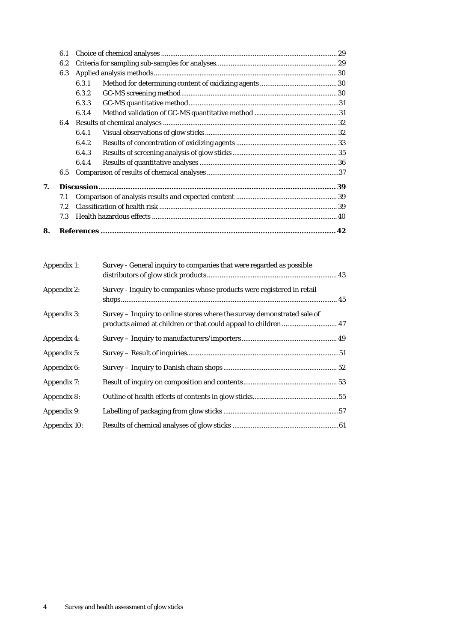|    | 6.1 |       |  |  |  |
|----|-----|-------|--|--|--|
|    | 6.2 |       |  |  |  |
|    | 6.3 |       |  |  |  |
|    |     | 6.3.1 |  |  |  |
|    |     | 6.3.2 |  |  |  |
|    |     | 6.3.3 |  |  |  |
|    |     | 6.3.4 |  |  |  |
|    |     |       |  |  |  |
|    |     | 6.4.1 |  |  |  |
|    |     | 6.4.2 |  |  |  |
|    |     | 6.4.3 |  |  |  |
|    |     | 6.4.4 |  |  |  |
|    | 6.5 |       |  |  |  |
| 7. |     |       |  |  |  |
|    | 7.1 |       |  |  |  |
|    | 7.2 |       |  |  |  |
|    | 7.3 |       |  |  |  |
| 8. |     |       |  |  |  |

| Appendix 1:  | Survey - General inquiry to companies that were regarded as possible                                                                       |  |
|--------------|--------------------------------------------------------------------------------------------------------------------------------------------|--|
| Appendix 2:  | Survey - Inquiry to companies whose products were registered in retail                                                                     |  |
| Appendix 3:  | Survey – Inquiry to online stores where the survey demonstrated sale of<br>products aimed at children or that could appeal to children  47 |  |
| Appendix 4:  |                                                                                                                                            |  |
| Appendix 5:  |                                                                                                                                            |  |
| Appendix 6:  |                                                                                                                                            |  |
| Appendix 7:  |                                                                                                                                            |  |
| Appendix 8:  |                                                                                                                                            |  |
| Appendix 9:  |                                                                                                                                            |  |
| Appendix 10: |                                                                                                                                            |  |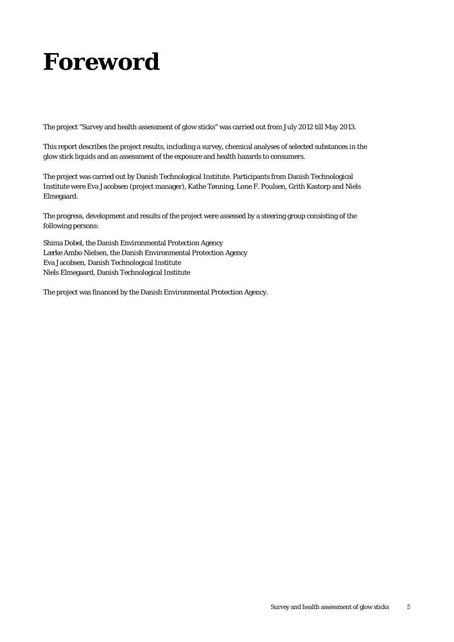## <span id="page-4-0"></span>**Foreword**

The project "Survey and health assessment of glow sticks" was carried out from July 2012 till May 2013.

This report describes the project results, including a survey, chemical analyses of selected substances in the glow stick liquids and an assessment of the exposure and health hazards to consumers.

The project was carried out by Danish Technological Institute. Participants from Danish Technological Institute were Eva Jacobsen (project manager), Kathe Tønning, Lone F. Poulsen, Grith Kastorp and Niels Elmegaard.

The progress, development and results of the project were assessed by a steering group consisting of the following persons:

Shima Dobel, the Danish Environmental Protection Agency Lærke Ambo Nielsen, the Danish Environmental Protection Agency Eva Jacobsen, Danish Technological Institute Niels Elmegaard, Danish Technological Institute

The project was financed by the Danish Environmental Protection Agency.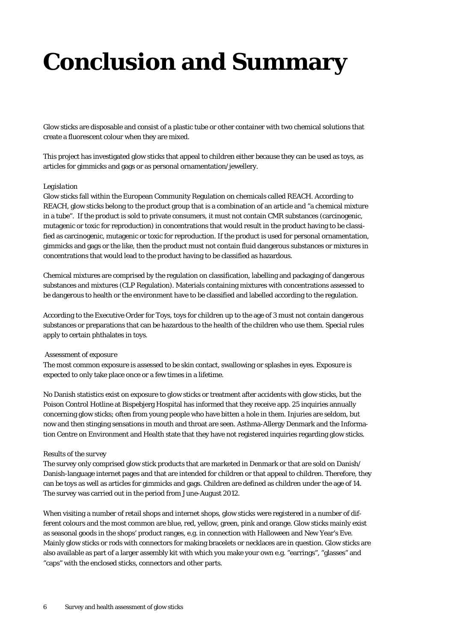# <span id="page-5-0"></span>**Conclusion and Summary**

Glow sticks are disposable and consist of a plastic tube or other container with two chemical solutions that create a fluorescent colour when they are mixed.

This project has investigated glow sticks that appeal to children either because they can be used as toys, as articles for gimmicks and gags or as personal ornamentation/jewellery.

#### *Legislation*

Glow sticks fall within the European Community Regulation on chemicals called REACH. According to REACH, glow sticks belong to the product group that is a combination of an article and "a chemical mixture in a tube". If the product is sold to private consumers, it must not contain CMR substances (carcinogenic, mutagenic or toxic for reproduction) in concentrations that would result in the product having to be classified as carcinogenic, mutagenic or toxic for reproduction. If the product is used for personal ornamentation, gimmicks and gags or the like, then the product must not contain fluid dangerous substances or mixtures in concentrations that would lead to the product having to be classified as hazardous.

Chemical mixtures are comprised by the regulation on classification, labelling and packaging of dangerous substances and mixtures (CLP Regulation). Materials containing mixtures with concentrations assessed to be dangerous to health or the environment have to be classified and labelled according to the regulation.

According to the Executive Order for Toys, toys for children up to the age of 3 must not contain dangerous substances or preparations that can be hazardous to the health of the children who use them. Special rules apply to certain phthalates in toys.

#### *Assessment of exposure*

The most common exposure is assessed to be skin contact, swallowing or splashes in eyes. Exposure is expected to only take place once or a few times in a lifetime.

No Danish statistics exist on exposure to glow sticks or treatment after accidents with glow sticks, but the Poison Control Hotline at Bispebjerg Hospital has informed that they receive app. 25 inquiries annually concerning glow sticks; often from young people who have bitten a hole in them. Injuries are seldom, but now and then stinging sensations in mouth and throat are seen. Asthma-Allergy Denmark and the Information Centre on Environment and Health state that they have not registered inquiries regarding glow sticks.

#### *Results of the survey*

The survey only comprised glow stick products that are marketed in Denmark or that are sold on Danish/ Danish-language internet pages and that are intended for children or that appeal to children. Therefore, they can be toys as well as articles for gimmicks and gags. Children are defined as children under the age of 14. The survey was carried out in the period from June-August 2012.

When visiting a number of retail shops and internet shops, glow sticks were registered in a number of different colours and the most common are blue, red, yellow, green, pink and orange. Glow sticks mainly exist as seasonal goods in the shops' product ranges, e.g. in connection with Halloween and New Year's Eve. Mainly glow sticks or rods with connectors for making bracelets or necklaces are in question. Glow sticks are also available as part of a larger assembly kit with which you make your own e.g. "earrings", "glasses" and "caps" with the enclosed sticks, connectors and other parts.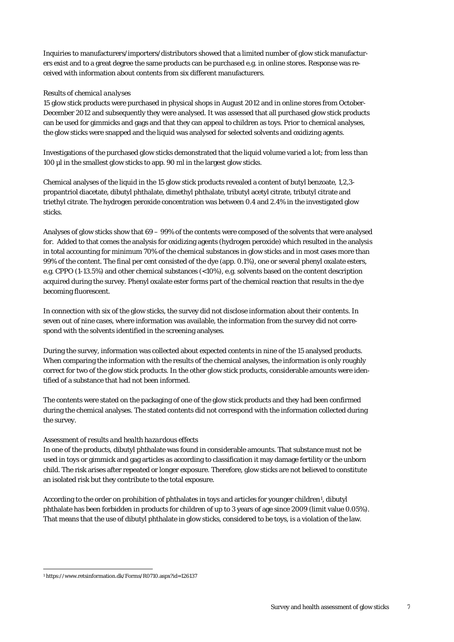Inquiries to manufacturers/importers/distributors showed that a limited number of glow stick manufacturers exist and to a great degree the same products can be purchased e.g. in online stores. Response was received with information about contents from six different manufacturers.

#### *Results of chemical analyses*

15 glow stick products were purchased in physical shops in August 2012 and in online stores from October-December 2012 and subsequently they were analysed. It was assessed that all purchased glow stick products can be used for gimmicks and gags and that they can appeal to children as toys. Prior to chemical analyses, the glow sticks were snapped and the liquid was analysed for selected solvents and oxidizing agents.

Investigations of the purchased glow sticks demonstrated that the liquid volume varied a lot; from less than 100 µl in the smallest glow sticks to app. 90 ml in the largest glow sticks.

Chemical analyses of the liquid in the 15 glow stick products revealed a content of butyl benzoate, 1,2,3 propantriol diacetate, dibutyl phthalate, dimethyl phthalate, tributyl acetyl citrate, tributyl citrate and triethyl citrate. The hydrogen peroxide concentration was between 0.4 and 2.4% in the investigated glow sticks.

Analyses of glow sticks show that 69 – 99% of the contents were composed of the solvents that were analysed for. Added to that comes the analysis for oxidizing agents (hydrogen peroxide) which resulted in the analysis in total accounting for minimum 70% of the chemical substances in glow sticks and in most cases more than 99% of the content. The final per cent consisted of the dye (app. 0.1%), one or several phenyl oxalate esters, e.g. CPPO (1-13.5%) and other chemical substances (<10%), e.g. solvents based on the content description acquired during the survey. Phenyl oxalate ester forms part of the chemical reaction that results in the dye becoming fluorescent.

In connection with six of the glow sticks, the survey did not disclose information about their contents. In seven out of nine cases, where information was available, the information from the survey did not correspond with the solvents identified in the screening analyses.

During the survey, information was collected about expected contents in nine of the 15 analysed products. When comparing the information with the results of the chemical analyses, the information is only roughly correct for two of the glow stick products. In the other glow stick products, considerable amounts were identified of a substance that had not been informed.

The contents were stated on the packaging of one of the glow stick products and they had been confirmed during the chemical analyses. The stated contents did not correspond with the information collected during the survey.

#### *Assessment of results and health hazardous effects*

In one of the products, dibutyl phthalate was found in considerable amounts. That substance must not be used in toys or gimmick and gag articles as according to classification it may damage fertility or the unborn child. The risk arises after repeated or longer exposure. Therefore, glow sticks are not believed to constitute an isolated risk but they contribute to the total exposure.

According to the order on prohibition of phthalates in toys and articles for younger children<sup>1</sup>, dibutyl phthalate has been forbidden in products for children of up to 3 years of age since 2009 (limit value 0.05%). That means that the use of dibutyl phthalate in glow sticks, considered to be toys, is a violation of the law.

<span id="page-6-0"></span> <sup>1</sup> https://www.retsinformation.dk/Forms/R0710.aspx?id=126137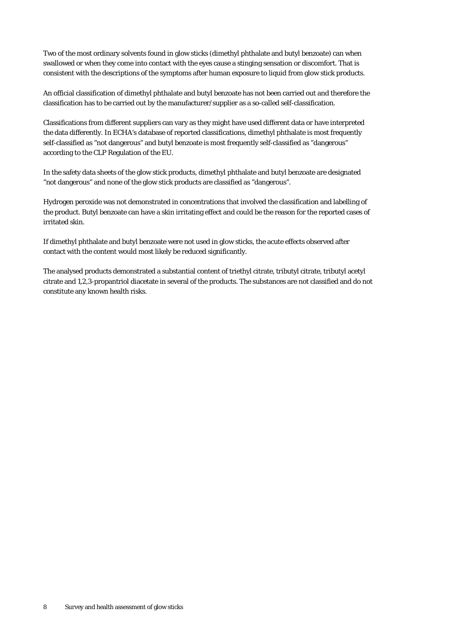Two of the most ordinary solvents found in glow sticks (dimethyl phthalate and butyl benzoate) can when swallowed or when they come into contact with the eyes cause a stinging sensation or discomfort. That is consistent with the descriptions of the symptoms after human exposure to liquid from glow stick products.

An official classification of dimethyl phthalate and butyl benzoate has not been carried out and therefore the classification has to be carried out by the manufacturer/supplier as a so-called self-classification.

Classifications from different suppliers can vary as they might have used different data or have interpreted the data differently. In ECHA's database of reported classifications, dimethyl phthalate is most frequently self-classified as "not dangerous" and butyl benzoate is most frequently self-classified as "dangerous" according to the CLP Regulation of the EU.

In the safety data sheets of the glow stick products, dimethyl phthalate and butyl benzoate are designated "not dangerous" and none of the glow stick products are classified as "dangerous".

Hydrogen peroxide was not demonstrated in concentrations that involved the classification and labelling of the product. Butyl benzoate can have a skin irritating effect and could be the reason for the reported cases of irritated skin.

If dimethyl phthalate and butyl benzoate were not used in glow sticks, the acute effects observed after contact with the content would most likely be reduced significantly.

The analysed products demonstrated a substantial content of triethyl citrate, tributyl citrate, tributyl acetyl citrate and 1,2,3-propantriol diacetate in several of the products. The substances are not classified and do not constitute any known health risks.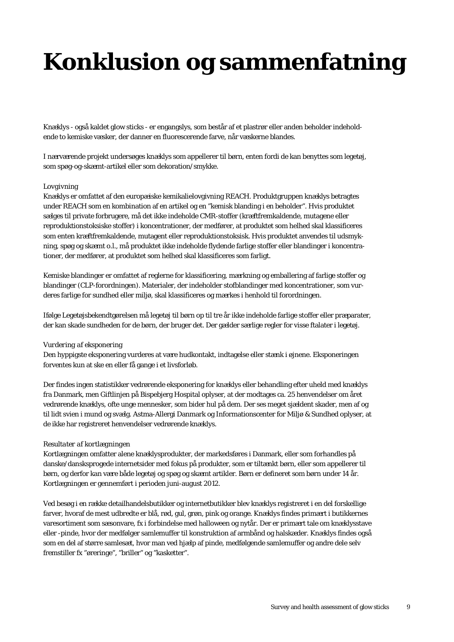# <span id="page-8-0"></span>**Konklusion og sammenfatning**

Knæklys - også kaldet glow sticks - er engangslys, som består af et plastrør eller anden beholder indeholdende to kemiske væsker, der danner en fluorescerende farve, når væskerne blandes.

I nærværende projekt undersøges knæklys som appellerer til børn, enten fordi de kan benyttes som legetøj, som spøg-og-skæmt-artikel eller som dekoration/smykke.

#### *Lovgivning*

Knæklys er omfattet af den europæiske kemikalielovgivning REACH. Produktgruppen knæklys betragtes under REACH som en kombination af en artikel og en "kemisk blanding i en beholder". Hvis produktet sælges til private forbrugere, må det ikke indeholde CMR-stoffer (kræftfremkaldende, mutagene eller reproduktionstoksiske stoffer) i koncentrationer, der medfører, at produktet som helhed skal klassificeres som enten kræftfremkaldende, mutagent eller reproduktionstoksisk. Hvis produktet anvendes til udsmykning, spøg og skæmt o.l., må produktet ikke indeholde flydende farlige stoffer eller blandinger i koncentrationer, der medfører, at produktet som helhed skal klassificeres som farligt.

Kemiske blandinger er omfattet af reglerne for klassificering, mærkning og emballering af farlige stoffer og blandinger (CLP-forordningen). Materialer, der indeholder stofblandinger med koncentrationer, som vurderes farlige for sundhed eller miljø, skal klassificeres og mærkes i henhold til forordningen.

Ifølge Legetøjsbekendtgørelsen må legetøj til børn op til tre år ikke indeholde farlige stoffer eller præparater, der kan skade sundheden for de børn, der bruger det. Der gælder særlige regler for visse ftalater i legetøj.

#### *Vurdering af eksponering*

Den hyppigste eksponering vurderes at være hudkontakt, indtagelse eller stænk i øjnene. Eksponeringen forventes kun at ske en eller få gange i et livsforløb.

Der findes ingen statistikker vedrørende eksponering for knæklys eller behandling efter uheld med knæklys fra Danmark, men Giftlinjen på Bispebjerg Hospital oplyser, at der modtages ca. 25 henvendelser om året vedrørende knæklys, ofte unge mennesker, som bider hul på dem. Der ses meget sjældent skader, men af og til lidt svien i mund og svælg. Astma-Allergi Danmark og Informationscenter for Miljø & Sundhed oplyser, at de ikke har registreret henvendelser vedrørende knæklys.

#### *Resultater af kortlægningen*

Kortlægningen omfatter alene knæklysprodukter, der markedsføres i Danmark, eller som forhandles på danske/dansksprogede internetsider med fokus på produkter, som er tiltænkt børn, eller som appellerer til børn, og derfor kan være både legetøj og spøg og skæmt artikler. Børn er defineret som børn under 14 år. Kortlægningen er gennemført i perioden juni-august 2012.

Ved besøg i en række detailhandelsbutikker og internetbutikker blev knæklys registreret i en del forskellige farver, hvoraf de mest udbredte er blå, rød, gul, grøn, pink og orange. Knæklys findes primært i butikkernes varesortiment som sæsonvare, fx i forbindelse med halloween og nytår. Der er primært tale om knæklysstave eller -pinde, hvor der medfølger samlemuffer til konstruktion af armbånd og halskæder. Knæklys findes også som en del af større samlesæt, hvor man ved hjælp af pinde, medfølgende samlemuffer og andre dele selv fremstiller fx "øreringe", "briller" og "kasketter".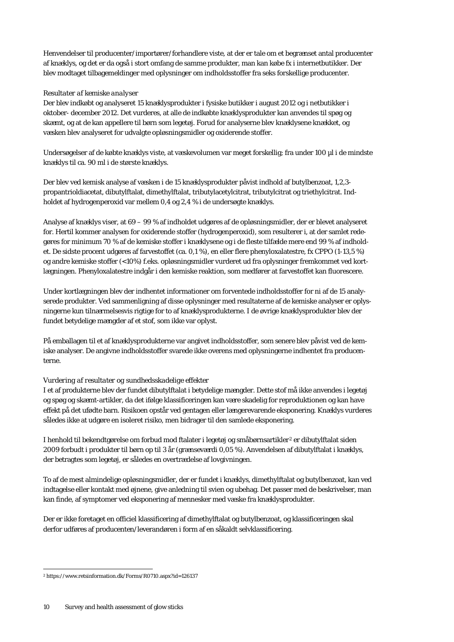Henvendelser til producenter/importører/forhandlere viste, at der er tale om et begrænset antal producenter af knæklys, og det er da også i stort omfang de samme produkter, man kan købe fx i internetbutikker. Der blev modtaget tilbagemeldinger med oplysninger om indholdsstoffer fra seks forskellige producenter.

#### *Resultater af kemiske analyser*

Der blev indkøbt og analyseret 15 knæklysprodukter i fysiske butikker i august 2012 og i netbutikker i oktober- december 2012. Det vurderes, at alle de indkøbte knæklysprodukter kan anvendes til spøg og skæmt, og at de kan appellere til børn som legetøj. Forud for analyserne blev knæklysene knækket, og væsken blev analyseret for udvalgte opløsningsmidler og oxiderende stoffer.

Undersøgelser af de købte knæklys viste, at væskevolumen var meget forskellig; fra under 100 µl i de mindste knæklys til ca. 90 ml i de største knæklys.

Der blev ved kemisk analyse af væsken i de 15 knæklysprodukter påvist indhold af butylbenzoat, 1,2,3 propantrioldiacetat, dibutylftalat, dimethylftalat, tributylacetylcitrat, tributylcitrat og triethylcitrat. Indholdet af hydrogenperoxid var mellem 0,4 og 2,4 % i de undersøgte knæklys.

Analyse af knæklys viser, at 69 – 99 % af indholdet udgøres af de opløsningsmidler, der er blevet analyseret for. Hertil kommer analysen for oxiderende stoffer (hydrogenperoxid), som resulterer i, at der samlet redegøres for minimum 70 % af de kemiske stoffer i knæklysene og i de fleste tilfælde mere end 99 % af indholdet. De sidste procent udgøres af farvestoffet (ca. 0,1 %), en eller flere phenyloxalatestre, fx CPPO (1-13,5 %) og andre kemiske stoffer (<10%) f.eks. opløsningsmidler vurderet ud fra oplysninger fremkommet ved kortlægningen. Phenyloxalatestre indgår i den kemiske reaktion, som medfører at farvestoffet kan fluorescere.

Under kortlægningen blev der indhentet informationer om forventede indholdsstoffer for ni af de 15 analyserede produkter. Ved sammenligning af disse oplysninger med resultaterne af de kemiske analyser er oplysningerne kun tilnærmelsesvis rigtige for to af knæklysprodukterne. I de øvrige knæklysprodukter blev der fundet betydelige mængder af et stof, som ikke var oplyst.

På emballagen til et af knæklysprodukterne var angivet indholdsstoffer, som senere blev påvist ved de kemiske analyser. De angivne indholdsstoffer svarede ikke overens med oplysningerne indhentet fra producenterne.

#### *Vurdering af resultater og sundhedsskadelige effekter*

I et af produkterne blev der fundet dibutylftalat i betydelige mængder. Dette stof må ikke anvendes i legetøj og spøg og skæmt-artikler, da det ifølge klassificeringen kan være skadelig for reproduktionen og kan have effekt på det ufødte barn. Risikoen opstår ved gentagen eller længerevarende eksponering. Knæklys vurderes således ikke at udgøre en isoleret risiko, men bidrager til den samlede eksponering.

I henhold til bekendtgørelse om forbud mod ftalater i legetøj og småbørnsartikler<sup>[2](#page-6-0)</sup> er dibutylftalat siden 2009 forbudt i produkter til børn op til 3 år (grænseværdi 0,05 %). Anvendelsen af dibutylftalat i knæklys, der betragtes som legetøj, er således en overtrædelse af lovgivningen.

To af de mest almindelige opløsningsmidler, der er fundet i knæklys, dimethylftalat og butylbenzoat, kan ved indtagelse eller kontakt med øjnene, give anledning til svien og ubehag. Det passer med de beskrivelser, man kan finde, af symptomer ved eksponering af mennesker med væske fra knæklysprodukter.

Der er ikke foretaget en officiel klassificering af dimethylftalat og butylbenzoat, og klassificeringen skal derfor udføres af producenten/leverandøren i form af en såkaldt selvklassificering.

<span id="page-9-0"></span> <sup>2</sup> https://www.retsinformation.dk/Forms/R0710.aspx?id=126137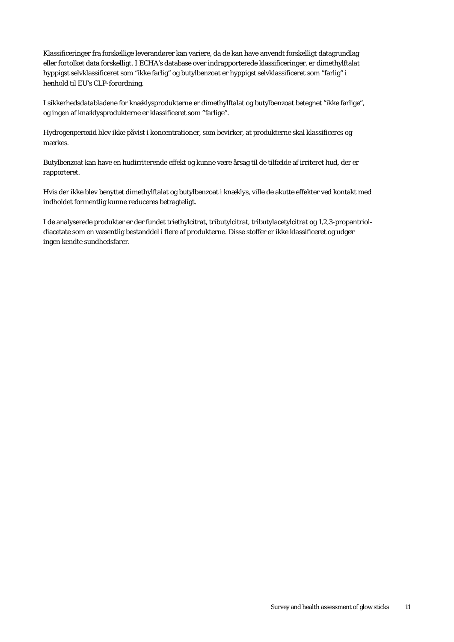Klassificeringer fra forskellige leverandører kan variere, da de kan have anvendt forskelligt datagrundlag eller fortolket data forskelligt. I ECHA's database over indrapporterede klassificeringer, er dimethylftalat hyppigst selvklassificeret som "ikke farlig" og butylbenzoat er hyppigst selvklassificeret som "farlig" i henhold til EU's CLP-forordning.

I sikkerhedsdatabladene for knæklysprodukterne er dimethylftalat og butylbenzoat betegnet "ikke farlige", og ingen af knæklysprodukterne er klassificeret som "farlige".

Hydrogenperoxid blev ikke påvist i koncentrationer, som bevirker, at produkterne skal klassificeres og mærkes.

Butylbenzoat kan have en hudirriterende effekt og kunne være årsag til de tilfælde af irriteret hud, der er rapporteret.

Hvis der ikke blev benyttet dimethylftalat og butylbenzoat i knæklys, ville de akutte effekter ved kontakt med indholdet formentlig kunne reduceres betragteligt.

I de analyserede produkter er der fundet triethylcitrat, tributylcitrat, tributylacetylcitrat og 1,2,3-propantrioldiacetate som en væsentlig bestanddel i flere af produkterne. Disse stoffer er ikke klassificeret og udgør ingen kendte sundhedsfarer.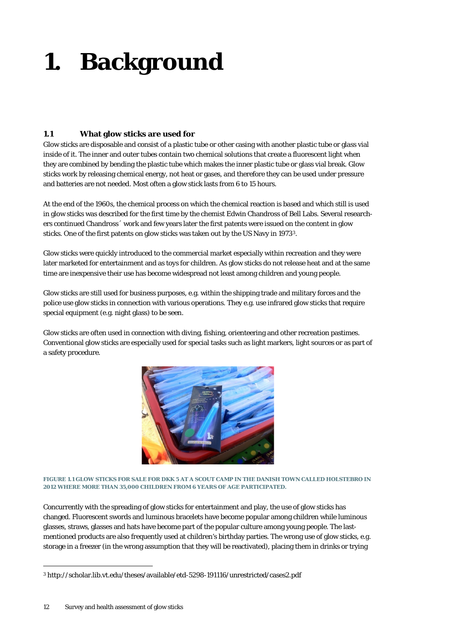# <span id="page-11-0"></span>**1. Background**

#### <span id="page-11-1"></span>**1.1 What glow sticks are used for**

Glow sticks are disposable and consist of a plastic tube or other casing with another plastic tube or glass vial inside of it. The inner and outer tubes contain two chemical solutions that create a fluorescent light when they are combined by bending the plastic tube which makes the inner plastic tube or glass vial break. Glow sticks work by releasing chemical energy, not heat or gases, and therefore they can be used under pressure and batteries are not needed. Most often a glow stick lasts from 6 to 15 hours.

At the end of the 1960s, the chemical process on which the chemical reaction is based and which still is used in glow sticks was described for the first time by the chemist Edwin Chandross of Bell Labs. Several researchers continued Chandross´ work and few years later the first patents were issued on the content in glow sticks. One of the first patents on glow sticks was taken out by the US Navy in 1973[3](#page-9-0).

Glow sticks were quickly introduced to the commercial market especially within recreation and they were later marketed for entertainment and as toys for children. As glow sticks do not release heat and at the same time are inexpensive their use has become widespread not least among children and young people.

Glow sticks are still used for business purposes, e.g. within the shipping trade and military forces and the police use glow sticks in connection with various operations. They e.g. use infrared glow sticks that require special equipment (e.g. night glass) to be seen.

Glow sticks are often used in connection with diving, fishing, orienteering and other recreation pastimes. Conventional glow sticks are especially used for special tasks such as light markers, light sources or as part of a safety procedure.



<span id="page-11-4"></span>**FIGURE 1.1 GLOW STICKS FOR SALE FOR DKK 5 AT A SCOUT CAMP IN THE DANISH TOWN CALLED HOLSTEBRO IN 2012 WHERE MORE THAN 35,000 CHILDREN FROM 6 YEARS OF AGE PARTICIPATED.** 

<span id="page-11-3"></span>Concurrently with the spreading of glow sticks for entertainment and play, the use of glow sticks has changed. Fluorescent swords and luminous bracelets have become popular among children while luminous glasses, straws, glasses and hats have become part of the popular culture among young people. The lastmentioned products are also frequently used at children's birthday parties. The wrong use of glow sticks, e.g. storage in a freezer (in the wrong assumption that they will be reactivated), placing them in drinks or trying

<span id="page-11-2"></span><sup>3</sup> http://scholar.lib.vt.edu/theses/available/etd-5298-191116/unrestricted/cases2.pdf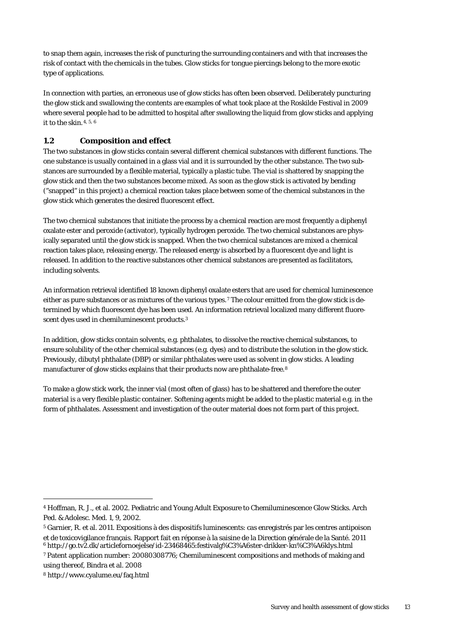to snap them again, increases the risk of puncturing the surrounding containers and with that increases the risk of contact with the chemicals in the tubes. Glow sticks for tongue piercings belong to the more exotic type of applications.

In connection with parties, an erroneous use of glow sticks has often been observed. Deliberately puncturing the glow stick and swallowing the contents are examples of what took place at the Roskilde Festival in 2009 where several people had to be admitted to hospital after swallowing the liquid from glow sticks and applying it to the skin.  $4, 5, 6$  $4, 5, 6$  $4, 5, 6$  $4, 5, 6$  $4, 5, 6$ 

#### <span id="page-12-0"></span>**1.2 Composition and effect**

The two substances in glow sticks contain several different chemical substances with different functions. The one substance is usually contained in a glass vial and it is surrounded by the other substance. The two substances are surrounded by a flexible material, typically a plastic tube. The vial is shattered by snapping the glow stick and then the two substances become mixed. As soon as the glow stick is activated by bending ("snapped" in this project) a chemical reaction takes place between some of the chemical substances in the glow stick which generates the desired fluorescent effect.

The two chemical substances that initiate the process by a chemical reaction are most frequently a diphenyl oxalate ester and peroxide (activator), typically hydrogen peroxide. The two chemical substances are physically separated until the glow stick is snapped. When the two chemical substances are mixed a chemical reaction takes place, releasing energy. The released energy is absorbed by a fluorescent dye and light is released. In addition to the reactive substances other chemical substances are presented as facilitators, including solvents.

An information retrieval identified 18 known diphenyl oxalate esters that are used for chemical luminescence either as pure substances or as mixtures of the various types.[7](#page-12-3) The colour emitted from the glow stick is determined by which fluorescent dye has been used. An information retrieval localized many different fluorescent dyes used in chemiluminescent products.3

In addition, glow sticks contain solvents, e.g. phthalates, to dissolve the reactive chemical substances, to ensure solubility of the other chemical substances (e.g. dyes) and to distribute the solution in the glow stick. Previously, dibutyl phthalate (DBP) or similar phthalates were used as solvent in glow sticks. A leading manufacturer of glow sticks explains that their products now are phthalate-free.<sup>[8](#page-12-4)</sup>

To make a glow stick work, the inner vial (most often of glass) has to be shattered and therefore the outer material is a very flexible plastic container. Softening agents might be added to the plastic material e.g. in the form of phthalates. Assessment and investigation of the outer material does not form part of this project.

<sup>4</sup> Hoffman, R. J., et al. 2002. Pediatric and Young Adult Exposure to Chemiluminescence Glow Sticks. Arch Ped. & Adolesc. Med. 1, 9, 2002.

<span id="page-12-5"></span><span id="page-12-1"></span><sup>5</sup> Garnier, R. et al. 2011. Expositions à des dispositifs luminescents: cas enregistrés par les centres antipoison et de toxicovigilance français. Rapport fait en réponse à la saisine de la Direction générale de la Santé. 2011 <sup>6</sup> http://go.tv2.dk/articlefornoejelse/id-23468465:festivalg%C3%A6ster-drikker-kn%C3%A6klys.html

<span id="page-12-3"></span><span id="page-12-2"></span><sup>7</sup> Patent application number: 20080308776; Chemiluminescent compositions and methods of making and using thereof, Bindra et al. 2008

<span id="page-12-4"></span><sup>8</sup> http://www.cyalume.eu/faq.html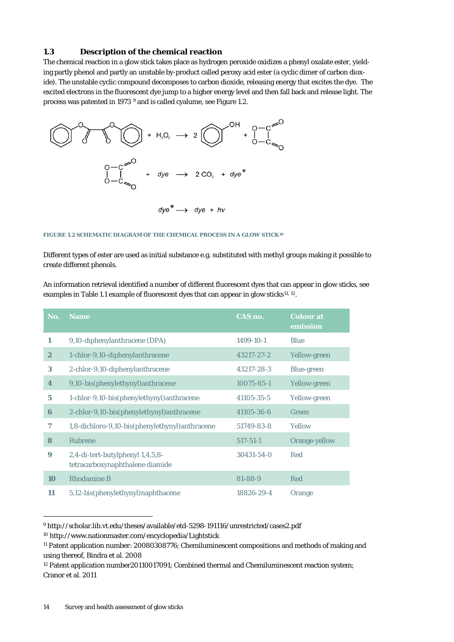#### <span id="page-13-0"></span>**1.3 Description of the chemical reaction**

The chemical reaction in a glow stick takes place as hydrogen peroxide oxidizes a phenyl oxalate ester, yielding partly phenol and partly an unstable by-product called peroxy acid ester (a cyclic dimer of carbon dioxide). The unstable cyclic compound decomposes to carbon dioxide, releasing energy that excites the dye. The excited electrons in the fluorescent dye jump to a higher energy level and then fall back and release light. The process was patented in 1973 [9](#page-12-5) and is called cyalume, see Figure 1.2.



#### **FIGURE 1.2 SCHEMATIC DIAGRAM OF THE CHEMICAL PROCESS IN A GLOW STICK[10](#page-13-1)**

Different types of ester are used as initial substance e.g. substituted with methyl groups making it possible to create different phenols.

An information retrieval identified a number of different fluorescent dyes that can appear in glow sticks, see examples in Table 1.1 example of fluorescent dyes that can appear in glow sticks<sup>[11,](#page-13-2) [12](#page-13-3)</sup>.

| No.                     | <b>Name</b>                                                         | CAS no.          | <b>Colour at</b><br>emission |
|-------------------------|---------------------------------------------------------------------|------------------|------------------------------|
| 1                       | 9,10-diphenylanthracene (DPA)                                       | 1499-10-1        | <b>Blue</b>                  |
| $\mathbf{2}$            | 1-chlor-9,10-diphenylanthracene                                     | 43217-27-2       | Yellow-green                 |
| 3                       | 2-chlor-9,10-diphenylanthracene                                     | 43217-28-3       | Blue-green                   |
| $\overline{\mathbf{4}}$ | 9,10-bis(phenylethynyl) anthracene                                  | $10075 - 85 - 1$ | Yellow-green                 |
| $\overline{\mathbf{5}}$ | 1-chlor-9,10-bis(phenylethynyl) anthracene                          | $41105 - 35 - 5$ | Yellow-green                 |
| $6\phantom{1}6$         | 2-chlor-9,10-bis(phenylethynyl) anthracene                          | 41105-36-6       | Green                        |
| 7                       | 1,8-dichloro-9,10-bis(phenylethynyl) anthracene                     | 51749-83-8       | Yellow                       |
| 8                       | <b>Rubrene</b>                                                      | $517 - 51 - 1$   | Orange-yellow                |
| 9                       | 2,4-di-tert-butylphenyl 1,4,5,8-<br>tetracarboxynaphthalene diamide | $30431 - 54 - 0$ | Red                          |
| 10                      | <b>Rhodamine B</b>                                                  | $81 - 88 - 9$    | Red                          |
| 11                      | 5,12-bis(phenylethynyl)naphthacene                                  | 18826-29-4       | Orange                       |

<sup>9</sup> http://scholar.lib.vt.edu/theses/available/etd-5298-191116/unrestricted/cases2.pdf

<span id="page-13-1"></span><sup>10</sup> http://www.nationmaster.com/encyclopedia/Lightstick

<span id="page-13-2"></span><sup>11</sup> Patent application number: 20080308776; Chemiluminescent compositions and methods of making and using thereof, Bindra et al. 2008

<span id="page-13-4"></span><span id="page-13-3"></span><sup>12</sup> Patent application number20110017091; Combined thermal and Chemiluminescent reaction system; Cranor et al. 2011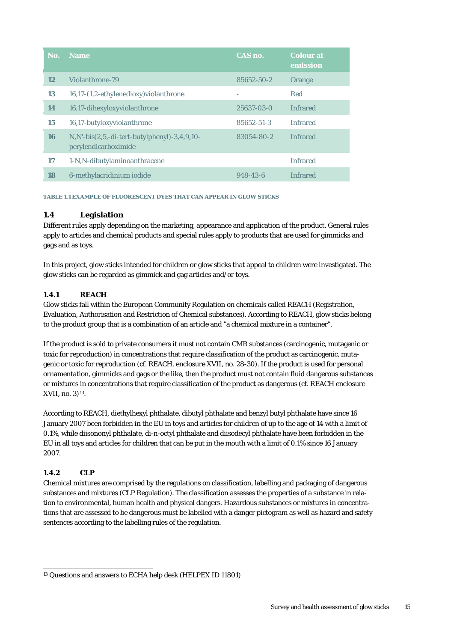| No.       | <b>Name</b>                                                             | CAS no.          | <b>Colour at</b><br>emission |
|-----------|-------------------------------------------------------------------------|------------------|------------------------------|
| <b>12</b> | Violanthrone-79                                                         | $85652 - 50 - 2$ | Orange                       |
| 13        | 16,17-(1,2-ethylenedioxy)violanthrone                                   | ۰                | Red                          |
| 14        | 16,17-dihexyloxyviolanthrone                                            | 25637-03-0       | <b>Infrared</b>              |
| 15        | 16,17-butyloxyviolanthrone                                              | 85652-51-3       | <b>Infrared</b>              |
| <b>16</b> | $N, N'-bis(2,5,-di-tert-butylphenyl)-3,4,9,10-$<br>perylendicarboximide | 83054-80-2       | <b>Infrared</b>              |
| 17        | 1-N,N-dibutylaminoanthracene                                            |                  | <b>Infrared</b>              |
| 18        | 6-methylacridinium iodide                                               | $948 - 43 - 6$   | <b>Infrared</b>              |

**TABLE 1.1 EXAMPLE OF FLUORESCENT DYES THAT CAN APPEAR IN GLOW STICKS**

#### <span id="page-14-0"></span>**1.4 Legislation**

Different rules apply depending on the marketing, appearance and application of the product. General rules apply to articles and chemical products and special rules apply to products that are used for gimmicks and gags and as toys.

In this project, glow sticks intended for children or glow sticks that appeal to children were investigated. The glow sticks can be regarded as gimmick and gag articles and/or toys.

#### <span id="page-14-1"></span>**1.4.1 REACH**

Glow sticks fall within the European Community Regulation on chemicals called REACH (Registration, Evaluation, Authorisation and Restriction of Chemical substances). According to REACH, glow sticks belong to the product group that is a combination of an article and "a chemical mixture in a container".

If the product is sold to private consumers it must not contain CMR substances (carcinogenic, mutagenic or toxic for reproduction) in concentrations that require classification of the product as carcinogenic, mutagenic or toxic for reproduction (cf. REACH, enclosure XVII, no. 28-30). If the product is used for personal ornamentation, gimmicks and gags or the like, then the product must not contain fluid dangerous substances or mixtures in concentrations that require classification of the product as dangerous (cf. REACH enclosure  $XVII, no. 3)$ <sup>[13](#page-13-4)</sup>.

According to REACH, diethylhexyl phthalate, dibutyl phthalate and benzyl butyl phthalate have since 16 January 2007 been forbidden in the EU in toys and articles for children of up to the age of 14 with a limit of 0.1%, while diisononyl phthalate, di-n-octyl phthalate and diisodecyl phthalate have been forbidden in the EU in all toys and articles for children that can be put in the mouth with a limit of 0.1% since 16 January 2007.

#### <span id="page-14-2"></span>**1.4.2 CLP**

Chemical mixtures are comprised by the regulations on classification, labelling and packaging of dangerous substances and mixtures (CLP Regulation). The classification assesses the properties of a substance in relation to environmental, human health and physical dangers. Hazardous substances or mixtures in concentrations that are assessed to be dangerous must be labelled with a danger pictogram as well as hazard and safety sentences according to the labelling rules of the regulation.

<span id="page-14-3"></span> <sup>13</sup> Questions and answers to ECHA help desk (HELPEX ID 11801)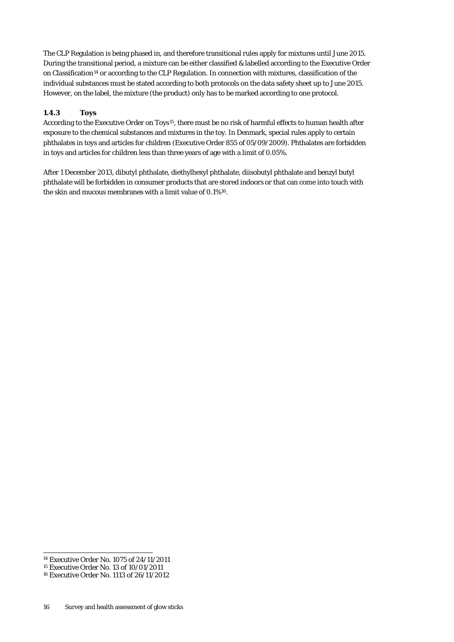The CLP Regulation is being phased in, and therefore transitional rules apply for mixtures until June 2015. During the transitional period, a mixture can be either classified & labelled according to the Executive Order on Classification<sup>[14](#page-14-3)</sup> or according to the CLP Regulation. In connection with mixtures, classification of the individual substances must be stated according to both protocols on the data safety sheet up to June 2015. However, on the label, the mixture (the product) only has to be marked according to one protocol.

#### <span id="page-15-0"></span>**1.4.3 Toys**

According to the Executive Order on Toys[15](#page-15-1), there must be no risk of harmful effects to human health after exposure to the chemical substances and mixtures in the toy. In Denmark, special rules apply to certain phthalates in toys and articles for children (Executive Order 855 of 05/09/2009). Phthalates are forbidden in toys and articles for children less than three years of age with a limit of 0.05%.

After 1 December 2013, dibutyl phthalate, diethylhexyl phthalate, diisobutyl phthalate and benzyl butyl phthalate will be forbidden in consumer products that are stored indoors or that can come into touch with the skin and mucous membranes with a limit value of 0.1%[16](#page-15-2).

 <sup>14</sup> Executive Order No. 1075 of 24/11/2011

<span id="page-15-1"></span><sup>15</sup> Executive Order No. 13 of 10/01/2011

<span id="page-15-2"></span><sup>16</sup> Executive Order No. 1113 of 26/11/2012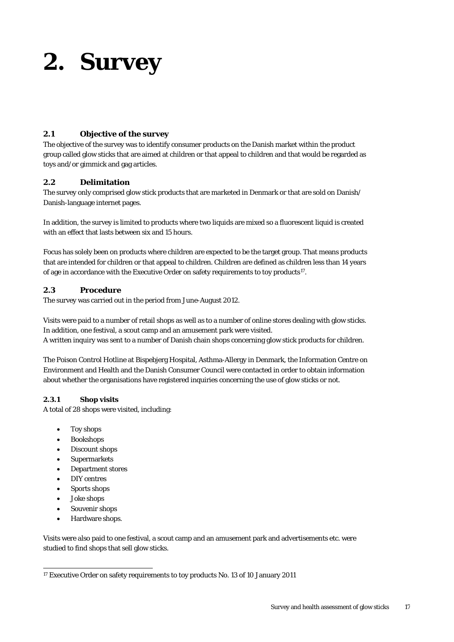## <span id="page-16-0"></span>**2. Survey**

#### <span id="page-16-1"></span>**2.1 Objective of the survey**

The objective of the survey was to identify consumer products on the Danish market within the product group called glow sticks that are aimed at children or that appeal to children and that would be regarded as toys and/or gimmick and gag articles.

#### <span id="page-16-2"></span>**2.2 Delimitation**

The survey only comprised glow stick products that are marketed in Denmark or that are sold on Danish/ Danish-language internet pages.

In addition, the survey is limited to products where two liquids are mixed so a fluorescent liquid is created with an effect that lasts between six and 15 hours.

Focus has solely been on products where children are expected to be the target group. That means products that are intended for children or that appeal to children. Children are defined as children less than 14 years of age in accordance with the Executive Order on safety requirements to toy products<sup>17</sup>.

#### <span id="page-16-3"></span>**2.3 Procedure**

The survey was carried out in the period from June-August 2012.

Visits were paid to a number of retail shops as well as to a number of online stores dealing with glow sticks. In addition, one festival, a scout camp and an amusement park were visited. A written inquiry was sent to a number of Danish chain shops concerning glow stick products for children.

The Poison Control Hotline at Bispebjerg Hospital, Asthma-Allergy in Denmark, the Information Centre on Environment and Health and the Danish Consumer Council were contacted in order to obtain information about whether the organisations have registered inquiries concerning the use of glow sticks or not.

#### <span id="page-16-4"></span>**2.3.1 Shop visits**

A total of 28 shops were visited, including:

- Toy shops
- Bookshops
- Discount shops
- Supermarkets
- Department stores
- DIY centres
- Sports shops
- Joke shops
- Souvenir shops
- Hardware shops.

<span id="page-16-5"></span>Visits were also paid to one festival, a scout camp and an amusement park and advertisements etc. were studied to find shops that sell glow sticks.

<sup>&</sup>lt;sup>17</sup> Executive Order on safety requirements to toy products No. 13 of 10 January 2011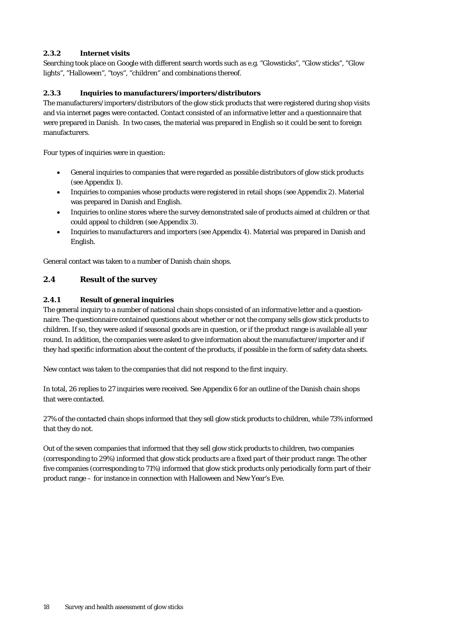#### <span id="page-17-0"></span>**2.3.2 Internet visits**

Searching took place on Google with different search words such as e.g. "Glowsticks", "Glow sticks", "Glow lights", "Halloween", "toys", "children" and combinations thereof.

#### <span id="page-17-1"></span>**2.3.3 Inquiries to manufacturers/importers/distributors**

The manufacturers/importers/distributors of the glow stick products that were registered during shop visits and via internet pages were contacted. Contact consisted of an informative letter and a questionnaire that were prepared in Danish. In two cases, the material was prepared in English so it could be sent to foreign manufacturers.

Four types of inquiries were in question:

- General inquiries to companies that were regarded as possible distributors of glow stick products (see Appendix 1).
- Inquiries to companies whose products were registered in retail shops (see Appendix 2). Material was prepared in Danish and English.
- Inquiries to online stores where the survey demonstrated sale of products aimed at children or that could appeal to children (see Appendix 3).
- Inquiries to manufacturers and importers (see Appendix 4). Material was prepared in Danish and English.

General contact was taken to a number of Danish chain shops.

#### <span id="page-17-2"></span>**2.4 Result of the survey**

#### <span id="page-17-3"></span>**2.4.1 Result of general inquiries**

The general inquiry to a number of national chain shops consisted of an informative letter and a questionnaire. The questionnaire contained questions about whether or not the company sells glow stick products to children. If so, they were asked if seasonal goods are in question, or if the product range is available all year round. In addition, the companies were asked to give information about the manufacturer/importer and if they had specific information about the content of the products, if possible in the form of safety data sheets.

New contact was taken to the companies that did not respond to the first inquiry.

In total, 26 replies to 27 inquiries were received. See Appendix 6 for an outline of the Danish chain shops that were contacted.

27% of the contacted chain shops informed that they sell glow stick products to children, while 73% informed that they do not.

Out of the seven companies that informed that they sell glow stick products to children, two companies (corresponding to 29%) informed that glow stick products are a fixed part of their product range. The other five companies (corresponding to 71%) informed that glow stick products only periodically form part of their product range – for instance in connection with Halloween and New Year's Eve.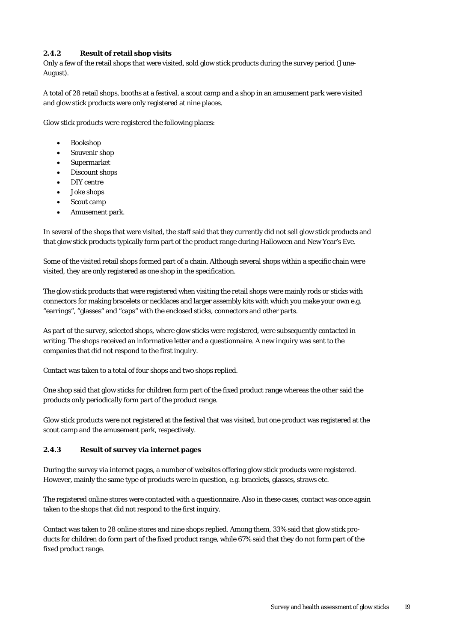#### <span id="page-18-0"></span>**2.4.2 Result of retail shop visits**

Only a few of the retail shops that were visited, sold glow stick products during the survey period (June-August).

A total of 28 retail shops, booths at a festival, a scout camp and a shop in an amusement park were visited and glow stick products were only registered at nine places.

Glow stick products were registered the following places:

- Bookshop
- Souvenir shop
- Supermarket
- Discount shops
- DIY centre
- Joke shops
- Scout camp
- Amusement park.

In several of the shops that were visited, the staff said that they currently did not sell glow stick products and that glow stick products typically form part of the product range during Halloween and New Year's Eve.

Some of the visited retail shops formed part of a chain. Although several shops within a specific chain were visited, they are only registered as one shop in the specification.

The glow stick products that were registered when visiting the retail shops were mainly rods or sticks with connectors for making bracelets or necklaces and larger assembly kits with which you make your own e.g. "earrings", "glasses" and "caps" with the enclosed sticks, connectors and other parts.

As part of the survey, selected shops, where glow sticks were registered, were subsequently contacted in writing. The shops received an informative letter and a questionnaire. A new inquiry was sent to the companies that did not respond to the first inquiry.

Contact was taken to a total of four shops and two shops replied.

One shop said that glow sticks for children form part of the fixed product range whereas the other said the products only periodically form part of the product range.

Glow stick products were not registered at the festival that was visited, but one product was registered at the scout camp and the amusement park, respectively.

#### <span id="page-18-1"></span>**2.4.3 Result of survey via internet pages**

During the survey via internet pages, a number of websites offering glow stick products were registered. However, mainly the same type of products were in question, e.g. bracelets, glasses, straws etc.

The registered online stores were contacted with a questionnaire. Also in these cases, contact was once again taken to the shops that did not respond to the first inquiry.

Contact was taken to 28 online stores and nine shops replied. Among them, 33% said that glow stick products for children do form part of the fixed product range, while 67% said that they do not form part of the fixed product range.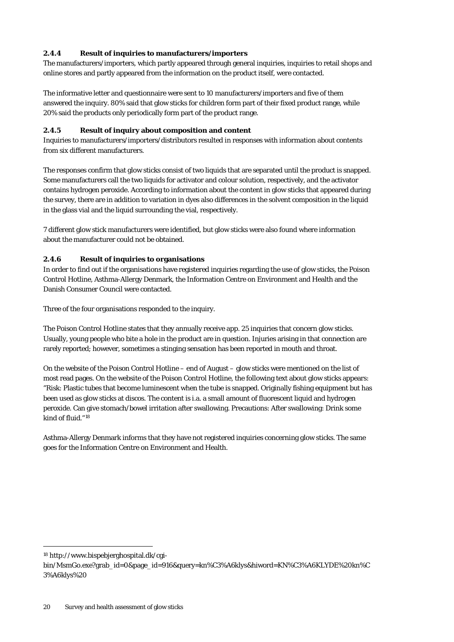#### <span id="page-19-0"></span>**2.4.4 Result of inquiries to manufacturers/importers**

The manufacturers/importers, which partly appeared through general inquiries, inquiries to retail shops and online stores and partly appeared from the information on the product itself, were contacted.

The informative letter and questionnaire were sent to 10 manufacturers/importers and five of them answered the inquiry. 80% said that glow sticks for children form part of their fixed product range, while 20% said the products only periodically form part of the product range.

#### <span id="page-19-1"></span>**2.4.5 Result of inquiry about composition and content**

Inquiries to manufacturers/importers/distributors resulted in responses with information about contents from six different manufacturers.

The responses confirm that glow sticks consist of two liquids that are separated until the product is snapped. Some manufacturers call the two liquids for activator and colour solution, respectively, and the activator contains hydrogen peroxide. According to information about the content in glow sticks that appeared during the survey, there are in addition to variation in dyes also differences in the solvent composition in the liquid in the glass vial and the liquid surrounding the vial, respectively.

7 different glow stick manufacturers were identified, but glow sticks were also found where information about the manufacturer could not be obtained.

#### <span id="page-19-2"></span>**2.4.6 Result of inquiries to organisations**

In order to find out if the organisations have registered inquiries regarding the use of glow sticks, the Poison Control Hotline, Asthma-Allergy Denmark, the Information Centre on Environment and Health and the Danish Consumer Council were contacted.

Three of the four organisations responded to the inquiry.

The Poison Control Hotline states that they annually receive app. 25 inquiries that concern glow sticks. Usually, young people who bite a hole in the product are in question. Injuries arising in that connection are rarely reported; however, sometimes a stinging sensation has been reported in mouth and throat.

On the website of the Poison Control Hotline – end of August – glow sticks were mentioned on the list of most read pages. On the website of the Poison Control Hotline, the following text about glow sticks appears: "Risk: Plastic tubes that become luminescent when the tube is snapped. Originally fishing equipment but has been used as glow sticks at discos. The content is i.a. a small amount of fluorescent liquid and hydrogen peroxide. Can give stomach/bowel irritation after swallowing. Precautions: After swallowing: Drink some kind of fluid." [18](#page-16-5)

Asthma-Allergy Denmark informs that they have not registered inquiries concerning glow sticks. The same goes for the Information Centre on Environment and Health.

<span id="page-19-3"></span><sup>18</sup> http://www.bispebjerghospital.dk/cgi-

bin/MsmGo.exe?grab\_id=0&page\_id=916&query=kn%C3%A6klys&hiword=KN%C3%A6KLYDE%20kn%C 3%A6klys%20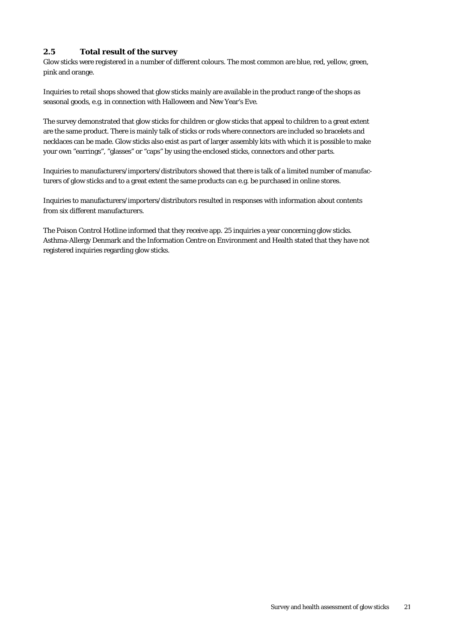#### <span id="page-20-0"></span>**2.5 Total result of the survey**

Glow sticks were registered in a number of different colours. The most common are blue, red, yellow, green, pink and orange.

Inquiries to retail shops showed that glow sticks mainly are available in the product range of the shops as seasonal goods, e.g. in connection with Halloween and New Year's Eve.

The survey demonstrated that glow sticks for children or glow sticks that appeal to children to a great extent are the same product. There is mainly talk of sticks or rods where connectors are included so bracelets and necklaces can be made. Glow sticks also exist as part of larger assembly kits with which it is possible to make your own "earrings", "glasses" or "caps" by using the enclosed sticks, connectors and other parts.

Inquiries to manufacturers/importers/distributors showed that there is talk of a limited number of manufacturers of glow sticks and to a great extent the same products can e.g. be purchased in online stores.

Inquiries to manufacturers/importers/distributors resulted in responses with information about contents from six different manufacturers.

The Poison Control Hotline informed that they receive app. 25 inquiries a year concerning glow sticks. Asthma-Allergy Denmark and the Information Centre on Environment and Health stated that they have not registered inquiries regarding glow sticks.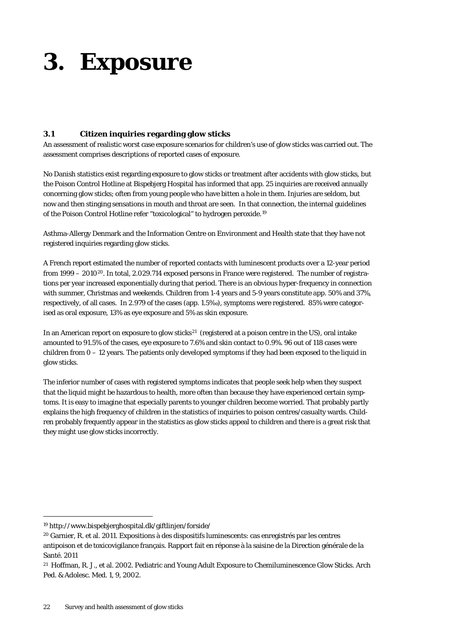## <span id="page-21-0"></span>**3. Exposure**

#### <span id="page-21-1"></span>**3.1 Citizen inquiries regarding glow sticks**

An assessment of realistic worst case exposure scenarios for children's use of glow sticks was carried out. The assessment comprises descriptions of reported cases of exposure.

No Danish statistics exist regarding exposure to glow sticks or treatment after accidents with glow sticks, but the Poison Control Hotline at Bispebjerg Hospital has informed that app. 25 inquiries are received annually concerning glow sticks; often from young people who have bitten a hole in them. Injuries are seldom, but now and then stinging sensations in mouth and throat are seen. In that connection, the internal guidelines of the Poison Control Hotline refer "toxicological" to hydrogen peroxide.[19](#page-19-3)

Asthma-Allergy Denmark and the Information Centre on Environment and Health state that they have not registered inquiries regarding glow sticks.

A French report estimated the number of reported contacts with luminescent products over a 12-year period from 1999 – [20](#page-21-2)10<sup>20</sup>. In total, 2.029.714 exposed persons in France were registered. The number of registrations per year increased exponentially during that period. There is an obvious hyper-frequency in connection with summer, Christmas and weekends. Children from 1-4 years and 5-9 years constitute app. 50% and 37%, respectively, of all cases. In 2.979 of the cases (app. 1.5‰), symptoms were registered. 85% were categorised as oral exposure, 13% as eye exposure and 5% as skin exposure.

In an American report on exposure to glow sticks<sup>21</sup> (registered at a poison centre in the US), oral intake amounted to 91.5% of the cases, eye exposure to 7.6% and skin contact to 0.9%. 96 out of 118 cases were children from 0 – 12 years. The patients only developed symptoms if they had been exposed to the liquid in glow sticks.

The inferior number of cases with registered symptoms indicates that people seek help when they suspect that the liquid might be hazardous to health, more often than because they have experienced certain symptoms. It is easy to imagine that especially parents to younger children become worried. That probably partly explains the high frequency of children in the statistics of inquiries to poison centres/casualty wards. Children probably frequently appear in the statistics as glow sticks appeal to children and there is a great risk that they might use glow sticks incorrectly.

<span id="page-21-4"></span><sup>19</sup> http://www.bispebjerghospital.dk/giftlinjen/forside/

<span id="page-21-2"></span><sup>20</sup> Garnier, R. et al. 2011. Expositions à des dispositifs luminescents: cas enregistrés par les centres antipoison et de toxicovigilance français. Rapport fait en réponse à la saisine de la Direction générale de la Santé. 2011

<span id="page-21-3"></span><sup>21</sup> Hoffman, R. J., et al. 2002. Pediatric and Young Adult Exposure to Chemiluminescence Glow Sticks. Arch Ped. & Adolesc. Med. 1, 9, 2002.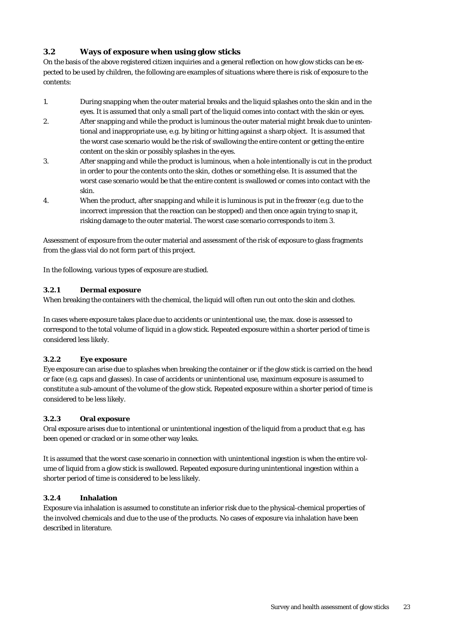#### <span id="page-22-0"></span>**3.2 Ways of exposure when using glow sticks**

On the basis of the above registered citizen inquiries and a general reflection on how glow sticks can be expected to be used by children, the following are examples of situations where there is risk of exposure to the contents:

- 1. During snapping when the outer material breaks and the liquid splashes onto the skin and in the eyes. It is assumed that only a small part of the liquid comes into contact with the skin or eyes.
- 2. After snapping and while the product is luminous the outer material might break due to unintentional and inappropriate use, e.g. by biting or hitting against a sharp object. It is assumed that the worst case scenario would be the risk of swallowing the entire content or getting the entire content on the skin or possibly splashes in the eyes.
- 3. After snapping and while the product is luminous, when a hole intentionally is cut in the product in order to pour the contents onto the skin, clothes or something else. It is assumed that the worst case scenario would be that the entire content is swallowed or comes into contact with the skin.
- 4. When the product, after snapping and while it is luminous is put in the freezer (e.g. due to the incorrect impression that the reaction can be stopped) and then once again trying to snap it, risking damage to the outer material. The worst case scenario corresponds to item 3.

Assessment of exposure from the outer material and assessment of the risk of exposure to glass fragments from the glass vial do not form part of this project.

In the following, various types of exposure are studied.

#### <span id="page-22-1"></span>**3.2.1 Dermal exposure**

When breaking the containers with the chemical, the liquid will often run out onto the skin and clothes.

In cases where exposure takes place due to accidents or unintentional use, the max. dose is assessed to correspond to the total volume of liquid in a glow stick. Repeated exposure within a shorter period of time is considered less likely.

#### <span id="page-22-2"></span>**3.2.2 Eye exposure**

Eye exposure can arise due to splashes when breaking the container or if the glow stick is carried on the head or face (e.g. caps and glasses). In case of accidents or unintentional use, maximum exposure is assumed to constitute a sub-amount of the volume of the glow stick. Repeated exposure within a shorter period of time is considered to be less likely.

#### <span id="page-22-3"></span>**3.2.3 Oral exposure**

Oral exposure arises due to intentional or unintentional ingestion of the liquid from a product that e.g. has been opened or cracked or in some other way leaks.

It is assumed that the worst case scenario in connection with unintentional ingestion is when the entire volume of liquid from a glow stick is swallowed. Repeated exposure during unintentional ingestion within a shorter period of time is considered to be less likely.

#### <span id="page-22-4"></span>**3.2.4 Inhalation**

Exposure via inhalation is assumed to constitute an inferior risk due to the physical-chemical properties of the involved chemicals and due to the use of the products. No cases of exposure via inhalation have been described in literature.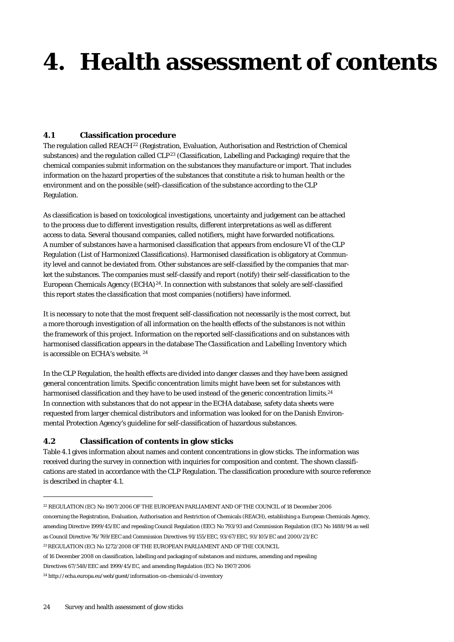## <span id="page-23-0"></span>**4. Health assessment of contents**

#### <span id="page-23-1"></span>**4.1 Classification procedure**

The regulation called REACH<sup>[22](#page-21-4)</sup> (Registration, Evaluation, Authorisation and Restriction of Chemical substances) and the regulation called CLP<sup>[23](#page-23-4)</sup> (Classification, Labelling and Packaging) require that the chemical companies submit information on the substances they manufacture or import. That includes information on the hazard properties of the substances that constitute a risk to human health or the environment and on the possible (self)-classification of the substance according to the CLP Regulation.

As classification is based on toxicological investigations, uncertainty and judgement can be attached to the process due to different investigation results, different interpretations as well as different access to data. Several thousand companies, called notifiers, might have forwarded notifications. A number of substances have a harmonised classification that appears from enclosure VI of the CLP Regulation (List of Harmonized Classifications). Harmonised classification is obligatory at Community level and cannot be deviated from. Other substances are self-classified by the companies that market the substances. The companies must self-classify and report (notify) their self-classification to the European Chemicals Agency  $(ECHA)^{24}$ . In connection with substances that solely are self-classified this report states the classification that most companies (notifiers) have informed.

<span id="page-23-3"></span>It is necessary to note that the most frequent self-classification not necessarily is the most correct, but a more thorough investigation of all information on the health effects of the substances is not within the framework of this project. Information on the reported self-classifications and on substances with harmonised classification appears in the database *The Classification and Labelling Inventory* which is accessible on ECHA's website. [24](#page-23-3)

In the CLP Regulation, the health effects are divided into danger classes and they have been assigned general concentration limits. Specific concentration limits might have been set for substances with harmonised classification and they have to be used instead of the generic concentration limits.<sup>24</sup> In connection with substances that do not appear in the ECHA database, safety data sheets were requested from larger chemical distributors and information was looked for on the Danish Environmental Protection Agency's guideline for self-classification of hazardous substances.

#### <span id="page-23-2"></span>**4.2 Classification of contents in glow sticks**

Table 4.1 gives information about names and content concentrations in glow sticks. The information was received during the survey in connection with inquiries for composition and content. The shown classifications are stated in accordance with the CLP Regulation. The classification procedure with source reference is described in chapte[r 4.1.](#page-23-1)

<sup>&</sup>lt;sup>22</sup> REGULATION (EC) No 1907/2006 OF THE EUROPEAN PARLIAMENT AND OF THE COUNCIL of 18 December 2006 concerning the Registration, Evaluation, Authorisation and Restriction of Chemicals (REACH), establishing a European Chemicals Agency, amending Directive 1999/45/EC and repealing Council Regulation (EEC) No 793/93 and Commission Regulation (EC) No 1488/94 as well as Council Directive 76/769/EEC and Commission Directives 91/155/EEC, 93/67/EEC, 93/105/EC and 2000/21/EC <sup>23</sup> REGULATION (EC) No 1272/2008 OF THE EUROPEAN PARLIAMENT AND OF THE COUNCIL

<span id="page-23-4"></span>of 16 December 2008 on classification, labelling and packaging of substances and mixtures, amending and repealing

<span id="page-23-6"></span>Directives 67/548/EEC and 1999/45/EC, and amending Regulation (EC) No 1907/2006

<span id="page-23-5"></span><sup>24</sup> http://echa.europa.eu/web/guest/information-on-chemicals/cl-inventory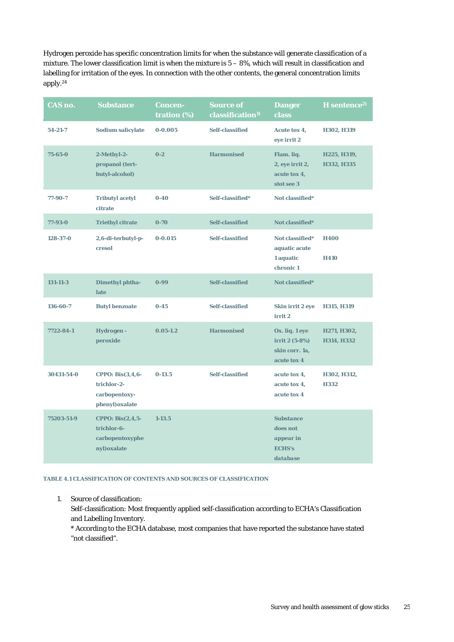Hydrogen peroxide has specific concentration limits for when the substance will generate classification of a mixture. The lower classification limit is when the mixture is  $5-8%$ , which will result in classification and labelling for irritation of the eyes. In connection with the other contents, the general concentration limits apply[.24](#page-23-3)

| CAS no.        | <b>Substance</b>                                                           | <b>Concen-</b><br>tration (%) | <b>Source of</b><br>classification <sup>1)</sup> | <b>Danger</b><br><b>class</b>                                          | H sentence <sup>2)</sup>   |
|----------------|----------------------------------------------------------------------------|-------------------------------|--------------------------------------------------|------------------------------------------------------------------------|----------------------------|
| $54 - 21 - 7$  | <b>Sodium salicylate</b>                                                   | $0 - 0.005$                   | <b>Self-classified</b>                           | Acute tox 4,<br>eye irrit 2                                            | H302, H319                 |
| $75 - 65 - 0$  | 2-Methyl-2-<br>propanol (tert-<br>butyl-alcohol)                           | $0-2$                         | <b>Harmonised</b>                                | Flam. liq.<br>2, eye irrit 2,<br>acute tox 4,<br>stot see 3            | H225, H319,<br>H332, H335  |
| $77-90-7$      | <b>Tributyl acetyl</b><br>citrate                                          | $0 - 40$                      | Self-classified*                                 | Not classified*                                                        |                            |
| $77 - 93 - 0$  | <b>Triethyl citrate</b>                                                    | $0 - 70$                      | Self-classified                                  | Not classified*                                                        |                            |
| 128-37-0       | 2,6-di-terbutyl-p-<br>cresol                                               | $0 - 0.015$                   | Self-classified                                  | Not classified*<br>aquatic acute<br>1 aquatic                          | <b>H400</b><br><b>H410</b> |
|                |                                                                            |                               |                                                  | chronic 1                                                              |                            |
| $131 - 11 - 3$ | <b>Dimethyl phtha-</b><br>late                                             | $0 - 99$                      | Self-classified                                  | Not classified*                                                        |                            |
| 136-60-7       | <b>Butyl benzoate</b>                                                      | $0 - 45$                      | Self-classified                                  | <b>Skin irrit 2 eye</b><br>irrit <sub>2</sub>                          | H315, H319                 |
| 7722-84-1      | <b>Hydrogen-</b><br>peroxide                                               | $0.05 - 1.2$                  | <b>Harmonised</b>                                | Ox. liq. 1 eye<br>irrit $2(5-8%)$<br>skin corr. 1a,<br>acute tox 4     | H271, H302,<br>H314, H332  |
| 30431-54-0     | <b>CPPO: Bis(3,4,6-</b><br>trichlor-2-<br>carbopentoxy-<br>phenyl) oxalate | $0-13.5$                      | Self-classified                                  | acute tox 4.<br>acute tox 4,<br>acute tox 4                            | H302, H312,<br>H332        |
| 75203-51-9     | <b>CPPO: Bis(2,4,5-</b><br>trichlor-6-<br>carbopentoxyphe<br>nyl) oxalate  | $1 - 13.5$                    |                                                  | <b>Substance</b><br>does not<br>appear in<br><b>ECHS's</b><br>database |                            |

<span id="page-24-0"></span>**TABLE 4.1 CLASSIFICATION OF CONTENTS AND SOURCES OF CLASSIFICATION**

1. Source of classification:

Self-classification: Most frequently applied self-classification according to ECHA's Classification and Labelling Inventory.

\* According to the ECHA database, most companies that have reported the substance have stated "not classified".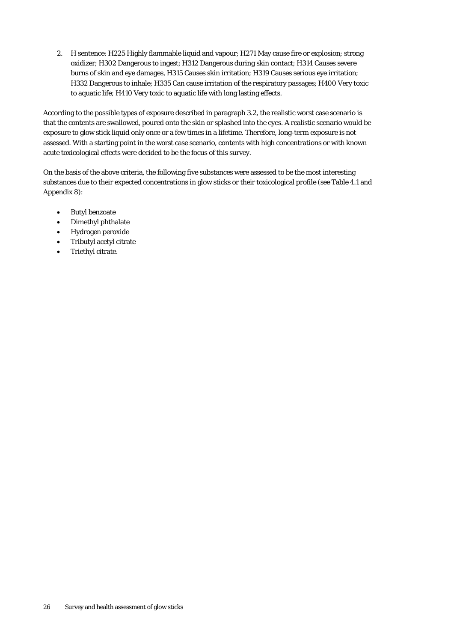2. H sentence: H225 Highly flammable liquid and vapour; H271 May cause fire or explosion; strong oxidizer; H302 Dangerous to ingest; H312 Dangerous during skin contact; H314 Causes severe burns of skin and eye damages, H315 Causes skin irritation; H319 Causes serious eye irritation; H332 Dangerous to inhale; H335 Can cause irritation of the respiratory passages; H400 Very toxic to aquatic life; H410 Very toxic to aquatic life with long lasting effects.

According to the possible types of exposure described in paragraph 3.2, the realistic worst case scenario is that the contents are swallowed, poured onto the skin or splashed into the eyes. A realistic scenario would be exposure to glow stick liquid only once or a few times in a lifetime. Therefore, long-term exposure is not assessed. With a starting point in the worst case scenario, contents with high concentrations or with known acute toxicological effects were decided to be the focus of this survey.

On the basis of the above criteria, the following five substances were assessed to be the most interesting substances due to their expected concentrations in glow sticks or their toxicological profile (see [Table 4.1](#page-24-0) and Appendix 8):

- Butyl benzoate
- Dimethyl phthalate
- Hydrogen peroxide
- Tributyl acetyl citrate
- Triethyl citrate.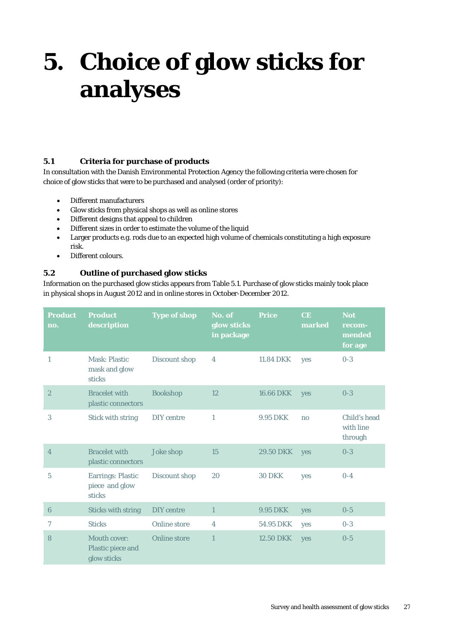## <span id="page-26-0"></span>**5. Choice of glow sticks for analyses**

#### <span id="page-26-1"></span>**5.1 Criteria for purchase of products**

In consultation with the Danish Environmental Protection Agency the following criteria were chosen for choice of glow sticks that were to be purchased and analysed (order of priority):

- Different manufacturers
- Glow sticks from physical shops as well as online stores
- Different designs that appeal to children
- Different sizes in order to estimate the volume of the liquid
- Larger products e.g. rods due to an expected high volume of chemicals constituting a high exposure risk.
- Different colours.

#### <span id="page-26-2"></span>**5.2 Outline of purchased glow sticks**

Information on the purchased glow sticks appears from Table 5.1. Purchase of glow sticks mainly took place in physical shops in August 2012 and in online stores in October-December 2012.

| <b>Product</b><br>no. | <b>Product</b><br>description                        | <b>Type of shop</b> | No. of<br>glow sticks<br>in package | <b>Price</b>     | CE<br>marked | <b>Not</b><br>recom-<br>mended<br>for age |
|-----------------------|------------------------------------------------------|---------------------|-------------------------------------|------------------|--------------|-------------------------------------------|
| 1                     | <b>Mask: Plastic</b><br>mask and glow<br>sticks      | Discount shop       | $\overline{4}$                      | <b>11.84 DKK</b> | yes          | $0 - 3$                                   |
| $\boldsymbol{2}$      | <b>Bracelet with</b><br>plastic connectors           | <b>Bookshop</b>     | 12                                  | <b>16.66 DKK</b> | yes          | $0 - 3$                                   |
| 3                     | Stick with string                                    | DIY centre          | 1                                   | <b>9.95 DKK</b>  | no           | Child's head<br>with line<br>through      |
| $\overline{4}$        | <b>Bracelet with</b><br>plastic connectors           | Joke shop           | 15                                  | <b>29.50 DKK</b> | yes          | $0 - 3$                                   |
| 5                     | <b>Earrings: Plastic</b><br>piece and glow<br>sticks | Discount shop       | 20                                  | <b>30 DKK</b>    | yes          | $0 - 4$                                   |
| $6\phantom{1}6$       | <b>Sticks with string</b>                            | DIY centre          | $\mathbf{1}$                        | <b>9.95 DKK</b>  | yes          | $0 - 5$                                   |
| 7                     | <b>Sticks</b>                                        | Online store        | 4                                   | 54.95 DKK        | yes          | $0 - 3$                                   |
| 8                     | Mouth cover:<br>Plastic piece and<br>glow sticks     | <b>Online store</b> | $\mathbf{1}$                        | <b>12.50 DKK</b> | yes          | $0 - 5$                                   |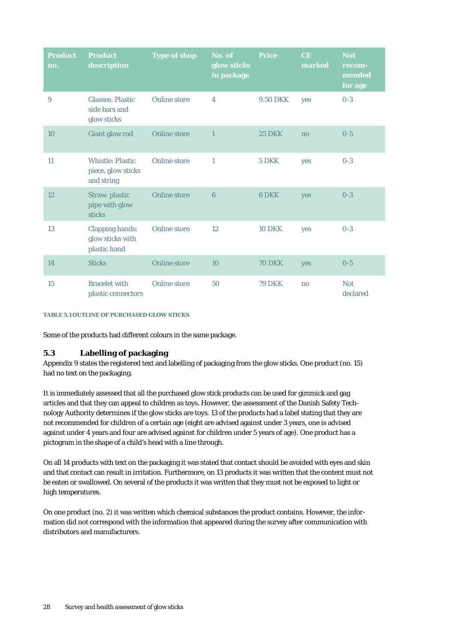| <b>Product</b><br>no. | <b>Product</b><br>description                               | <b>Type of shop</b> | No. of<br>glow sticks<br>in package | <b>Price</b>    | CE<br>marked | <b>Not</b><br>recom-<br>mended<br>for age |
|-----------------------|-------------------------------------------------------------|---------------------|-------------------------------------|-----------------|--------------|-------------------------------------------|
| 9                     | <b>Glasses: Plastic</b><br>side bars and<br>glow sticks     | <b>Online store</b> | 4                                   | <b>9.50 DKK</b> | yes          | $0 - 3$                                   |
| 10                    | Giant glow rod                                              | <b>Online store</b> | $\mathbf{1}$                        | <b>25 DKK</b>   | no           | $0 - 5$                                   |
| 11                    | <b>Whistle: Plastic</b><br>piece, glow sticks<br>and string | <b>Online store</b> | $\mathbf{1}$                        | 5 DKK           | yes          | $0 - 3$                                   |
| 12                    | Straw: plastic<br>pipe with glow<br>sticks                  | <b>Online store</b> | $6\phantom{1}6$                     | 6 DKK           | yes          | $0 - 3$                                   |
| 13                    | <b>Clapping hands:</b><br>glow sticks with<br>plastic hand  | <b>Online store</b> | 12                                  | <b>10 DKK</b>   | yes          | $0 - 3$                                   |
| 14                    | <b>Sticks</b>                                               | <b>Online store</b> | 10                                  | <b>70 DKK</b>   | yes          | $0 - 5$                                   |
| 15                    | <b>Bracelet with</b><br>plastic connectors                  | <b>Online store</b> | 50                                  | <b>79 DKK</b>   | no           | <b>Not</b><br>declared                    |

**TABLE 5.1 OUTLINE OF PURCHASED GLOW STICKS**

Some of the products had different colours in the same package.

#### <span id="page-27-0"></span>**5.3 Labelling of packaging**

Appendix 9 states the registered text and labelling of packaging from the glow sticks. One product (no. 15) had no text on the packaging.

It is immediately assessed that all the purchased glow stick products can be used for gimmick and gag articles and that they can appeal to children as toys. However, the assessment of the Danish Safety Technology Authority determines if the glow sticks are toys. 13 of the products had a label stating that they are not recommended for children of a certain age (eight are advised against under 3 years, one is advised against under 4 years and four are advised against for children under 5 years of age). One product has a pictogram in the shape of a child's head with a line through.

On all 14 products with text on the packaging it was stated that contact should be avoided with eyes and skin and that contact can result in irritation. Furthermore, on 13 products it was written that the content must not be eaten or swallowed. On several of the products it was written that they must not be exposed to light or high temperatures.

On one product (no. 2) it was written which chemical substances the product contains. However, the information did not correspond with the information that appeared during the survey after communication with distributors and manufacturers.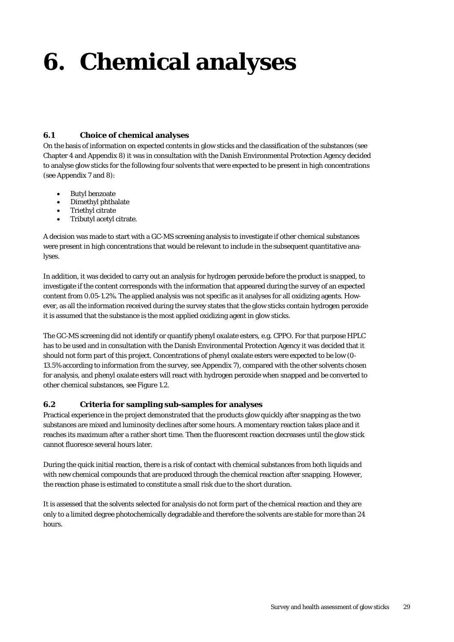# <span id="page-28-0"></span>**6. Chemical analyses**

#### <span id="page-28-1"></span>**6.1 Choice of chemical analyses**

On the basis of information on expected contents in glow sticks and the classification of the substances (see Chapte[r 4](#page-23-0) and Appendix 8) it was in consultation with the Danish Environmental Protection Agency decided to analyse glow sticks for the following four solvents that were expected to be present in high concentrations (see Appendix 7 and 8):

- Butyl benzoate
- Dimethyl phthalate
- Triethyl citrate
- Tributyl acetyl citrate.

A decision was made to start with a GC-MS screening analysis to investigate if other chemical substances were present in high concentrations that would be relevant to include in the subsequent quantitative analyses.

In addition, it was decided to carry out an analysis for hydrogen peroxide before the product is snapped, to investigate if the content corresponds with the information that appeared during the survey of an expected content from 0.05-1.2%. The applied analysis was not specific as it analyses for all oxidizing agents. However, as all the information received during the survey states that the glow sticks contain hydrogen peroxide it is assumed that the substance is the most applied oxidizing agent in glow sticks.

The GC-MS screening did not identify or quantify phenyl oxalate esters, e.g. CPPO. For that purpose HPLC has to be used and in consultation with the Danish Environmental Protection Agency it was decided that it should not form part of this project. Concentrations of phenyl oxalate esters were expected to be low (0- 13.5% according to information from the survey, see Appendix 7), compared with the other solvents chosen for analysis, and phenyl oxalate esters will react with hydrogen peroxide when snapped and be converted to other chemical substances, see [Figure 1.2](#page-11-4).

#### <span id="page-28-2"></span>**6.2 Criteria for sampling sub-samples for analyses**

Practical experience in the project demonstrated that the products glow quickly after snapping as the two substances are mixed and luminosity declines after some hours. A momentary reaction takes place and it reaches its maximum after a rather short time. Then the fluorescent reaction decreases until the glow stick cannot fluoresce several hours later.

During the quick initial reaction, there is a risk of contact with chemical substances from both liquids and with new chemical compounds that are produced through the chemical reaction after snapping. However, the reaction phase is estimated to constitute a small risk due to the short duration.

It is assessed that the solvents selected for analysis do not form part of the chemical reaction and they are only to a limited degree photochemically degradable and therefore the solvents are stable for more than 24 hours.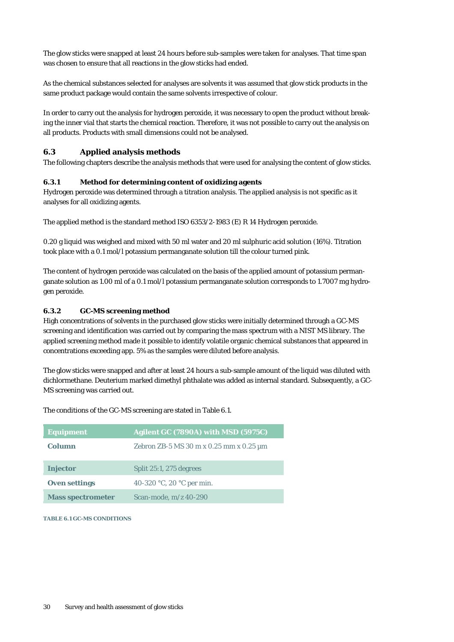The glow sticks were snapped at least 24 hours before sub-samples were taken for analyses. That time span was chosen to ensure that all reactions in the glow sticks had ended.

As the chemical substances selected for analyses are solvents it was assumed that glow stick products in the same product package would contain the same solvents irrespective of colour.

In order to carry out the analysis for hydrogen peroxide, it was necessary to open the product without breaking the inner vial that starts the chemical reaction. Therefore, it was not possible to carry out the analysis on all products. Products with small dimensions could not be analysed.

#### <span id="page-29-0"></span>**6.3 Applied analysis methods**

The following chapters describe the analysis methods that were used for analysing the content of glow sticks.

#### <span id="page-29-1"></span>**6.3.1 Method for determining content of oxidizing agents**

Hydrogen peroxide was determined through a titration analysis. The applied analysis is not specific as it analyses for all oxidizing agents.

The applied method is the standard method ISO 6353/2-1983 (E) R 14 Hydrogen peroxide.

0.20 g liquid was weighed and mixed with 50 ml water and 20 ml sulphuric acid solution (16%). Titration took place with a 0.1 mol/l potassium permanganate solution till the colour turned pink.

The content of hydrogen peroxide was calculated on the basis of the applied amount of potassium permanganate solution as 1.00 ml of a 0.1 mol/l potassium permanganate solution corresponds to 1.7007 mg hydrogen peroxide.

#### <span id="page-29-2"></span>**6.3.2 GC-MS screening method**

High concentrations of solvents in the purchased glow sticks were initially determined through a GC-MS screening and identification was carried out by comparing the mass spectrum with a NIST MS library. The applied screening method made it possible to identify volatile organic chemical substances that appeared in concentrations exceeding app. 5% as the samples were diluted before analysis.

The glow sticks were snapped and after at least 24 hours a sub-sample amount of the liquid was diluted with dichlormethane. Deuterium marked dimethyl phthalate was added as internal standard. Subsequently, a GC-MS screening was carried out.

The conditions of the GC-MS screening are stated in Table 6.1.

| <b>Equipment</b>         | Agilent GC (7890A) with MSD (5975C)         |
|--------------------------|---------------------------------------------|
| Column                   | Zebron ZB-5 MS 30 m x $0.25$ mm x $0.25$ µm |
| <b>Injector</b>          | Split $25:1$ , $275$ degrees                |
| <b>Oven settings</b>     | 40-320 °C, 20 °C per min.                   |
| <b>Mass spectrometer</b> | Scan-mode, $m/z$ 40-290                     |

**TABLE 6.1 GC-MS CONDITIONS**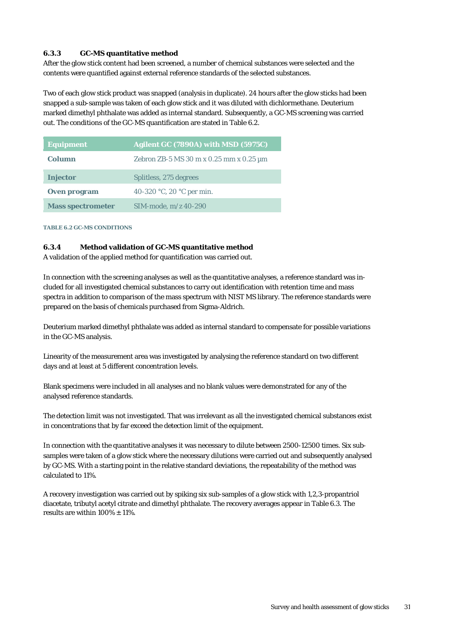#### <span id="page-30-0"></span>**6.3.3 GC-MS quantitative method**

After the glow stick content had been screened, a number of chemical substances were selected and the contents were quantified against external reference standards of the selected substances.

Two of each glow stick product was snapped (analysis in duplicate). 24 hours after the glow sticks had been snapped a sub-sample was taken of each glow stick and it was diluted with dichlormethane. Deuterium marked dimethyl phthalate was added as internal standard. Subsequently, a GC-MS screening was carried out. The conditions of the GC-MS quantification are stated in Table 6.2.

| <b>Equipment</b>         | Agilent GC (7890A) with MSD (5975C)         |
|--------------------------|---------------------------------------------|
| Column                   | Zebron ZB-5 MS 30 m x $0.25$ mm x $0.25$ µm |
| <b>Injector</b>          | Splitless, 275 degrees                      |
| Oven program             | 40-320 °C, 20 °C per min.                   |
| <b>Mass spectrometer</b> | SIM-mode, m/z 40-290                        |

#### **TABLE 6.2 GC-MS CONDITIONS**

#### <span id="page-30-1"></span>**6.3.4 Method validation of GC-MS quantitative method**

A validation of the applied method for quantification was carried out.

In connection with the screening analyses as well as the quantitative analyses, a reference standard was included for all investigated chemical substances to carry out identification with retention time and mass spectra in addition to comparison of the mass spectrum with NIST MS library. The reference standards were prepared on the basis of chemicals purchased from Sigma-Aldrich.

Deuterium marked dimethyl phthalate was added as internal standard to compensate for possible variations in the GC-MS analysis.

Linearity of the measurement area was investigated by analysing the reference standard on two different days and at least at 5 different concentration levels.

Blank specimens were included in all analyses and no blank values were demonstrated for any of the analysed reference standards.

The detection limit was not investigated. That was irrelevant as all the investigated chemical substances exist in concentrations that by far exceed the detection limit of the equipment.

In connection with the quantitative analyses it was necessary to dilute between 2500-12500 times. Six subsamples were taken of a glow stick where the necessary dilutions were carried out and subsequently analysed by GC-MS. With a starting point in the relative standard deviations, the repeatability of the method was calculated to 11%.

A recovery investigation was carried out by spiking six sub-samples of a glow stick with 1,2,3-propantriol diacetate, tributyl acetyl citrate and dimethyl phthalate. The recovery averages appear in Table 6.3. The results are within  $100\% \pm 11\%$ .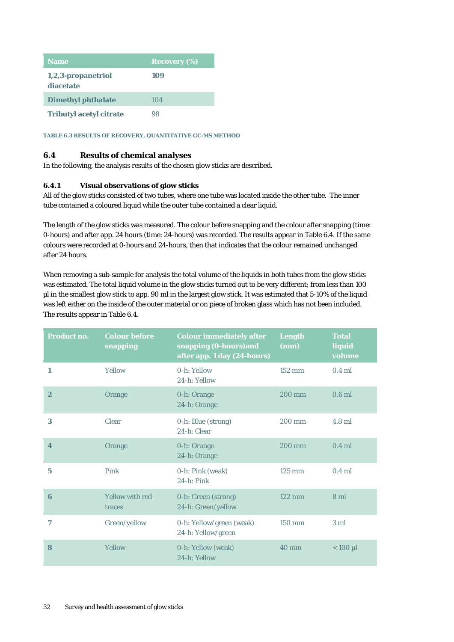| <b>Name</b>                     | <b>Recovery</b> (%) |
|---------------------------------|---------------------|
| 1,2,3-propanetriol<br>diacetate | 109                 |
| <b>Dimethyl phthalate</b>       | 104                 |
| <b>Tributyl acetyl citrate</b>  | 98                  |

**TABLE 6.3 RESULTS OF RECOVERY, QUANTITATIVE GC-MS METHOD**

#### <span id="page-31-0"></span>**6.4 Results of chemical analyses**

In the following, the analysis results of the chosen glow sticks are described.

#### <span id="page-31-1"></span>**6.4.1 Visual observations of glow sticks**

All of the glow sticks consisted of two tubes, where one tube was located inside the other tube. The inner tube contained a coloured liquid while the outer tube contained a clear liquid.

The length of the glow sticks was measured. The colour before snapping and the colour after snapping (time: 0-hours) and after app. 24 hours (time: 24-hours) was recorded. The results appear in Table 6.4. If the same colours were recorded at 0-hours and 24-hours, then that indicates that the colour remained unchanged after 24 hours.

When removing a sub-sample for analysis the total volume of the liquids in both tubes from the glow sticks was estimated. The total liquid volume in the glow sticks turned out to be very different; from less than 100 µl in the smallest glow stick to app. 90 ml in the largest glow stick. It was estimated that 5-10% of the liquid was left either on the inside of the outer material or on piece of broken glass which has not been included. The results appear in Table 6.4.

| Product no.             | <b>Colour before</b><br>snapping | <b>Colour immediately after</b><br>snapping (0-hours) and<br>after app. 1 day (24-hours) | <b>Length</b><br>(mm) | <b>Total</b><br>liquid<br>volume |
|-------------------------|----------------------------------|------------------------------------------------------------------------------------------|-----------------------|----------------------------------|
| 1                       | <b>Yellow</b>                    | 0-h: Yellow<br>24-h: Yellow                                                              | $152 \text{ mm}$      | $0.4$ ml                         |
| $\mathbf{2}$            | Orange                           | 0-h: Orange<br>24-h: Orange                                                              | $200 \text{ mm}$      | $0.6$ ml                         |
| 3                       | <b>Clear</b>                     | 0-h: Blue (strong)<br>24-h: Clear                                                        | $200 \text{ mm}$      | $4.8$ ml                         |
| $\overline{\mathbf{4}}$ | Orange                           | 0-h: Orange<br>24-h: Orange                                                              | $200 \text{ mm}$      | $0.4$ ml                         |
| 5                       | Pink                             | 0-h: Pink (weak)<br>$24-h$ : Pink                                                        | $125 \text{ mm}$      | $0.4$ ml                         |
| 6                       | <b>Yellow with red</b><br>traces | 0-h: Green (strong)<br>24-h: Green/yellow                                                | $122 \text{ mm}$      | 8 <sub>ml</sub>                  |
| 7                       | Green/yellow                     | 0-h: Yellow/green (weak)<br>24-h: Yellow/green                                           | 150 mm                | $3 \text{ ml}$                   |
| 8                       | <b>Yellow</b>                    | 0-h: Yellow (weak)<br>24-h: Yellow                                                       | <b>40 mm</b>          | $< 100 \mu l$                    |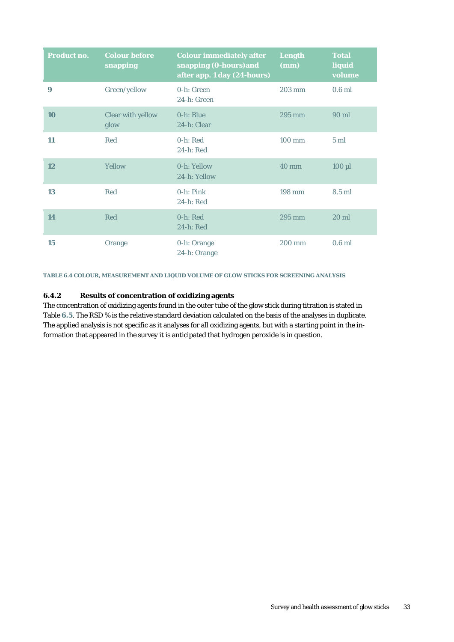| Product no. | <b>Colour before</b><br>snapping | <b>Colour immediately after</b><br>snapping (0-hours) and<br>after app. 1 day (24-hours) | <b>Length</b><br>(mm) | <b>Total</b><br>liquid<br>volume |
|-------------|----------------------------------|------------------------------------------------------------------------------------------|-----------------------|----------------------------------|
| 9           | Green/yellow                     | 0-h: Green<br>24-h: Green                                                                | 203 mm                | $0.6$ ml                         |
| 10          | Clear with yellow<br>glow        | 0-h: Blue<br>24-h: Clear                                                                 | $295 \text{ mm}$      | $90$ ml                          |
| 11          | Red                              | 0-h: Red<br>24-h: Red                                                                    | $100 \text{ mm}$      | 5 <sub>ml</sub>                  |
| 12          | Yellow                           | 0-h: Yellow<br>24-h: Yellow                                                              | 40 mm                 | $100$ $\mu$                      |
| 13          | Red                              | $0-h: Pink$<br>24-h: Red                                                                 | 198 mm                | $8.5$ ml                         |
| 14          | Red                              | $0-h:Red$<br>24-h: Red                                                                   | $295 \text{ mm}$      | $20 \text{ ml}$                  |
| 15          | Orange                           | 0-h: Orange<br>24-h: Orange                                                              | 200 mm                | $0.6$ ml                         |

<span id="page-32-1"></span>**TABLE 6.4 COLOUR, MEASUREMENT AND LIQUID VOLUME OF GLOW STICKS FOR SCREENING ANALYSIS**

#### <span id="page-32-0"></span>**6.4.2 Results of concentration of oxidizing agents**

The concentration of oxidizing agents found in the outer tube of the glow stick during titration is stated in Table **6.5**. The RSD % is the relative standard deviation calculated on the basis of the analyses in duplicate. The applied analysis is not specific as it analyses for all oxidizing agents, but with a starting point in the information that appeared in the survey it is anticipated that hydrogen peroxide is in question.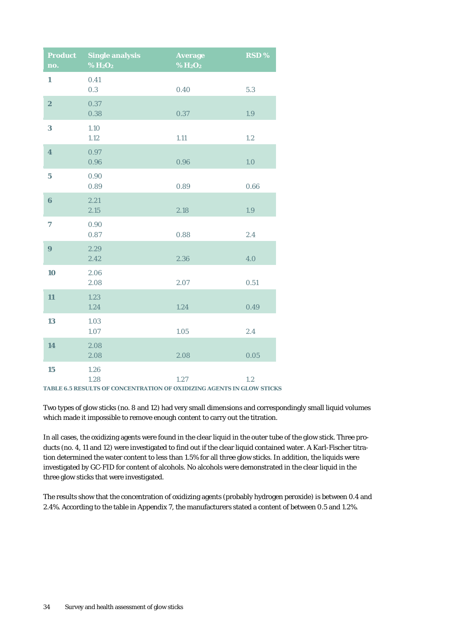| <b>Product</b><br>no.   | <b>Single analysis</b><br>% H <sub>2</sub> O <sub>2</sub> | <b>Average</b><br>% H <sub>2</sub> O <sub>2</sub> | RSD%    |
|-------------------------|-----------------------------------------------------------|---------------------------------------------------|---------|
| $\mathbf{1}$            | 0.41<br>0.3                                               | 0.40                                              | 5.3     |
| $\boldsymbol{2}$        | 0.37<br>0.38                                              | 0.37                                              | 1.9     |
| 3                       | 1.10<br>1.12                                              | 1.11                                              | 1.2     |
| $\overline{\mathbf{4}}$ | 0.97<br>0.96                                              | 0.96                                              | $1.0\,$ |
| $\mathbf 5$             | 0.90<br>0.89                                              | 0.89                                              | 0.66    |
| $\bf{6}$                | 2.21<br>2.15                                              | 2.18                                              | 1.9     |
| 7                       | 0.90<br>0.87                                              | 0.88                                              | 2.4     |
| $\overline{\mathbf{9}}$ | 2.29<br>2.42                                              | 2.36                                              | 4.0     |
| 10                      | 2.06<br>2.08                                              | 2.07                                              | 0.51    |
| 11                      | 1.23<br>1.24                                              | 1.24                                              | 0.49    |
| 13                      | 1.03<br>1.07                                              | 1.05                                              | 2.4     |
| 14                      | 2.08<br>2.08                                              | 2.08                                              | 0.05    |
| 15                      | 1.26<br>1.28                                              | 1.27                                              | $1.2\,$ |

**TABLE 6.5 RESULTS OF CONCENTRATION OF OXIDIZING AGENTS IN GLOW STICKS**

Two types of glow sticks (no. 8 and 12) had very small dimensions and correspondingly small liquid volumes which made it impossible to remove enough content to carry out the titration.

In all cases, the oxidizing agents were found in the clear liquid in the outer tube of the glow stick. Three products (no. 4, 11 and 12) were investigated to find out if the clear liquid contained water. A Karl-Fischer titration determined the water content to less than 1.5% for all three glow sticks. In addition, the liquids were investigated by GC-FID for content of alcohols. No alcohols were demonstrated in the clear liquid in the three glow sticks that were investigated.

The results show that the concentration of oxidizing agents (probably hydrogen peroxide) is between 0.4 and 2.4%. According to the table in Appendix 7, the manufacturers stated a content of between 0.5 and 1.2%.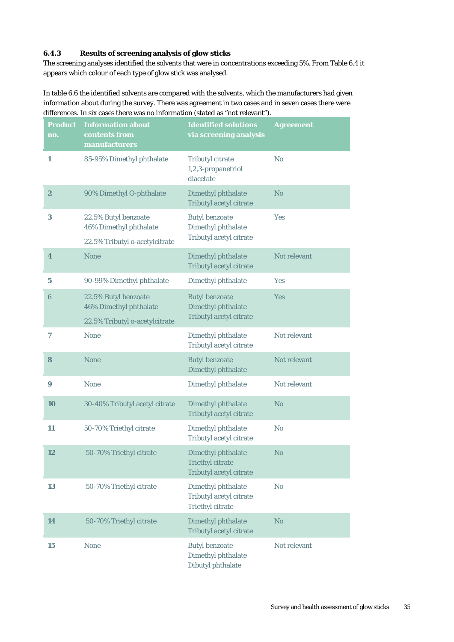#### <span id="page-34-0"></span>**6.4.3 Results of screening analysis of glow sticks**

The screening analyses identified the solvents that were in concentrations exceeding 5%. From [Table 6.4](#page-32-1) it appears which colour of each type of glow stick was analysed.

In table 6.6 the identified solvents are compared with the solvents, which the manufacturers had given information about during the survey. There was agreement in two cases and in seven cases there were differences. In six cases there was no information (stated as "not relevant").

| <b>Product</b><br>no.   | <b>Information about</b><br>contents from<br>manufacturers                       | <b>Identified solutions</b><br>via screening analysis                    | <b>Agreement</b> |
|-------------------------|----------------------------------------------------------------------------------|--------------------------------------------------------------------------|------------------|
| 1                       | 85-95% Dimethyl phthalate                                                        | Tributyl citrate<br>1,2,3-propanetriol<br>diacetate                      | N <sub>0</sub>   |
| $\boldsymbol{2}$        | 90% Dimethyl O-phthalate                                                         | Dimethyl phthalate<br><b>Tributyl acetyl citrate</b>                     | No               |
| 3                       | 22.5% Butyl benzoate<br>46% Dimethyl phthalate<br>22.5% Tributyl o-acetylcitrate | <b>Butyl benzoate</b><br>Dimethyl phthalate<br>Tributyl acetyl citrate   | <b>Yes</b>       |
| $\overline{\mathbf{4}}$ | <b>None</b>                                                                      | Dimethyl phthalate<br><b>Tributyl acetyl citrate</b>                     | Not relevant     |
| $\overline{5}$          | 90-99% Dimethyl phthalate                                                        | Dimethyl phthalate                                                       | <b>Yes</b>       |
| 6                       | 22.5% Butyl benzoate<br>46% Dimethyl phthalate<br>22.5% Tributyl o-acetylcitrate | <b>Butyl benzoate</b><br>Dimethyl phthalate<br>Tributyl acetyl citrate   | <b>Yes</b>       |
| 7                       | <b>None</b>                                                                      | Dimethyl phthalate<br>Tributyl acetyl citrate                            | Not relevant     |
| 8                       | <b>None</b>                                                                      | <b>Butyl benzoate</b><br>Dimethyl phthalate                              | Not relevant     |
| 9                       | <b>None</b>                                                                      | Dimethyl phthalate                                                       | Not relevant     |
| 10                      | 30-40% Tributyl acetyl citrate                                                   | Dimethyl phthalate<br><b>Tributyl acetyl citrate</b>                     | No               |
| 11                      | 50-70% Triethyl citrate                                                          | Dimethyl phthalate<br>Tributyl acetyl citrate                            | No               |
| 12                      | 50-70% Triethyl citrate                                                          | Dimethyl phthalate<br><b>Triethyl citrate</b><br>Tributyl acetyl citrate | N <sub>o</sub>   |
| 13                      | 50-70% Triethyl citrate                                                          | Dimethyl phthalate<br>Tributyl acetyl citrate<br><b>Triethyl citrate</b> | No               |
| 14                      | 50-70% Triethyl citrate                                                          | Dimethyl phthalate<br>Tributyl acetyl citrate                            | N <sub>o</sub>   |
| 15                      | <b>None</b>                                                                      | <b>Butyl benzoate</b><br>Dimethyl phthalate<br>Dibutyl phthalate         | Not relevant     |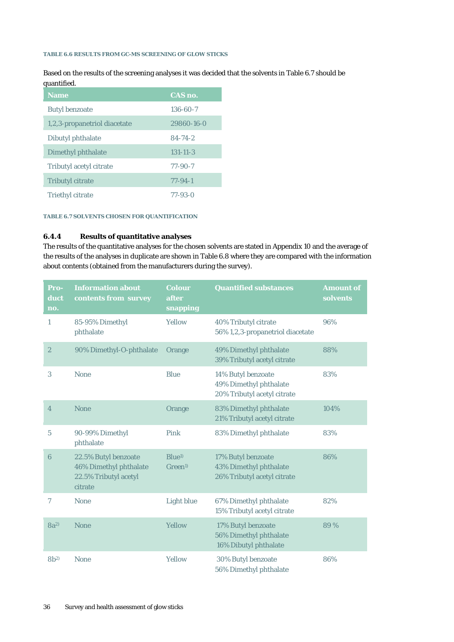#### **TABLE 6.6 RESULTS FROM GC-MS SCREENING OF GLOW STICKS**

Based on the results of the screening analyses it was decided that the solvents in Table 6.7 should be quantified.

| <b>Name</b>                  | CAS no.        |
|------------------------------|----------------|
| <b>Butyl</b> benzoate        | $136 - 60 - 7$ |
| 1,2,3-propanetriol diacetate | 29860-16-0     |
| Dibutyl phthalate            | $84 - 74 - 2$  |
| Dimethyl phthalate           | $131 - 11 - 3$ |
| Tributyl acetyl citrate      | $77 - 90 - 7$  |
| <b>Tributyl citrate</b>      | $77 - 94 - 1$  |
| <b>Triethyl citrate</b>      | $77 - 93 - 0$  |

#### **TABLE 6.7 SOLVENTS CHOSEN FOR QUANTIFICATION**

#### <span id="page-35-0"></span>**6.4.4 Results of quantitative analyses**

The results of the quantitative analyses for the chosen solvents are stated in Appendix 10 and the average of the results of the analyses in duplicate are shown in Table 6.8 where they are compared with the information about contents (obtained from the manufacturers during the survey).

| Pro-<br>duct<br>no. | <b>Information about</b><br>contents from survey                                   | <b>Colour</b><br>after<br>snapping       | <b>Quantified substances</b>                                                | <b>Amount of</b><br>solvents |
|---------------------|------------------------------------------------------------------------------------|------------------------------------------|-----------------------------------------------------------------------------|------------------------------|
| $\mathbf{1}$        | 85-95% Dimethyl<br>phthalate                                                       | Yellow                                   | 40% Tributyl citrate<br>56% 1,2,3-propanetriol diacetate                    | 96%                          |
| $\overline{2}$      | 90% Dimethyl-O-phthalate                                                           | Orange                                   | 49% Dimethyl phthalate<br>39% Tributyl acetyl citrate                       | 88%                          |
| 3                   | <b>None</b>                                                                        | <b>Blue</b>                              | 14% Butyl benzoate<br>49% Dimethyl phthalate<br>20% Tributyl acetyl citrate | 83%                          |
| $\overline{4}$      | <b>None</b>                                                                        | Orange                                   | 83% Dimethyl phthalate<br>21% Tributyl acetyl citrate                       | 104%                         |
| $\overline{5}$      | 90-99% Dimethyl<br>phthalate                                                       | Pink                                     | 83% Dimethyl phthalate                                                      | 83%                          |
| $6\phantom{1}$      | 22.5% Butyl benzoate<br>46% Dimethyl phthalate<br>22.5% Tributyl acetyl<br>citrate | Blue <sup>1</sup><br>Green <sup>1)</sup> | 17% Butyl benzoate<br>43% Dimethyl phthalate<br>26% Tributyl acetyl citrate | 86%                          |
| $\tau$              | <b>None</b>                                                                        | <b>Light blue</b>                        | 67% Dimethyl phthalate<br>15% Tributyl acetyl citrate                       | 82%                          |
| $8a^2$              | <b>None</b>                                                                        | Yellow                                   | 17% Butyl benzoate<br>56% Dimethyl phthalate<br>16% Dibutyl phthalate       | 89%                          |
| 8b <sup>2</sup>     | <b>None</b>                                                                        | Yellow                                   | 30% Butyl benzoate<br>56% Dimethyl phthalate                                | 86%                          |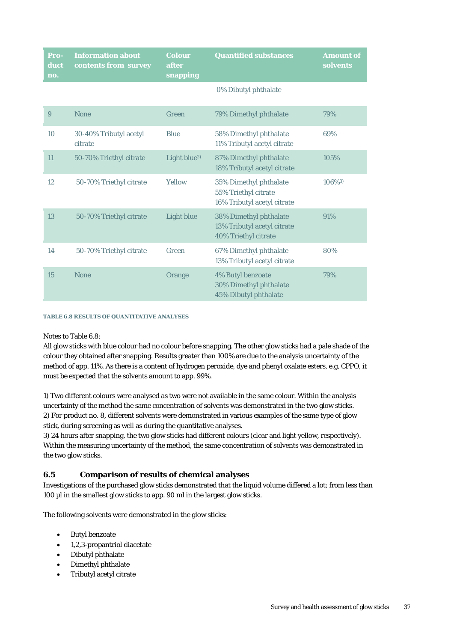| Pro-<br>duct<br>no. | <b>Information about</b><br>contents from survey | <b>Colour</b><br>after<br>snapping | <b>Quantified substances</b>                                                  | <b>Amount of</b><br>solvents |
|---------------------|--------------------------------------------------|------------------------------------|-------------------------------------------------------------------------------|------------------------------|
|                     |                                                  |                                    | 0% Dibutyl phthalate                                                          |                              |
| 9                   | <b>None</b>                                      | Green                              | 79% Dimethyl phthalate                                                        | 79%                          |
| 10                  | 30-40% Tributyl acetyl<br>citrate                | <b>Blue</b>                        | 58% Dimethyl phthalate<br>11% Tributyl acetyl citrate                         | 69%                          |
| 11                  | 50-70% Triethyl citrate                          | Light blue <sup>2)</sup>           | 87% Dimethyl phthalate<br>18% Tributyl acetyl citrate                         | 105%                         |
| 12                  | 50-70% Triethyl citrate                          | Yellow                             | 35% Dimethyl phthalate<br>55% Triethyl citrate<br>16% Tributyl acetyl citrate | $106\%^{3}$                  |
| 13                  | 50-70% Triethyl citrate                          | <b>Light blue</b>                  | 38% Dimethyl phthalate<br>13% Tributyl acetyl citrate<br>40% Triethyl citrate | 91%                          |
| 14                  | 50-70% Triethyl citrate                          | Green                              | 67% Dimethyl phthalate<br>13% Tributyl acetyl citrate                         | 80%                          |
| 15                  | <b>None</b>                                      | Orange                             | 4% Butyl benzoate<br>30% Dimethyl phthalate<br>45% Dibutyl phthalate          | 79%                          |

#### <span id="page-36-1"></span>**TABLE 6.8 RESULTS OF QUANTITATIVE ANALYSES**

Notes to [Table 6.8:](#page-36-1)

All glow sticks with blue colour had no colour before snapping. The other glow sticks had a pale shade of the colour they obtained after snapping. Results greater than 100% are due to the analysis uncertainty of the method of app. 11%. As there is a content of hydrogen peroxide, dye and phenyl oxalate esters, e.g. CPPO, it must be expected that the solvents amount to app. 99%.

1) Two different colours were analysed as two were not available in the same colour. Within the analysis uncertainty of the method the same concentration of solvents was demonstrated in the two glow sticks. 2) For product no. 8, different solvents were demonstrated in various examples of the same type of glow stick, during screening as well as during the quantitative analyses.

3) 24 hours after snapping, the two glow sticks had different colours (clear and light yellow, respectively). Within the measuring uncertainty of the method, the same concentration of solvents was demonstrated in the two glow sticks.

#### <span id="page-36-0"></span>**6.5 Comparison of results of chemical analyses**

Investigations of the purchased glow sticks demonstrated that the liquid volume differed a lot; from less than 100 µl in the smallest glow sticks to app. 90 ml in the largest glow sticks.

The following solvents were demonstrated in the glow sticks:

- Butyl benzoate
- 1,2,3-propantriol diacetate
- Dibutyl phthalate
- Dimethyl phthalate
- Tributyl acetyl citrate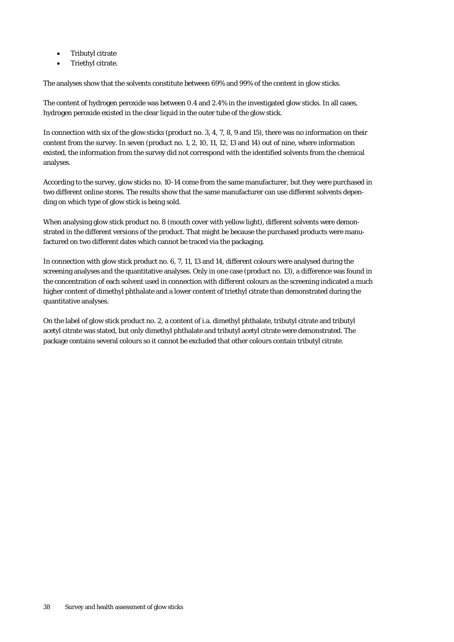- Tributyl citrate
- Triethyl citrate.

The analyses show that the solvents constitute between 69% and 99% of the content in glow sticks.

The content of hydrogen peroxide was between 0.4 and 2.4% in the investigated glow sticks. In all cases, hydrogen peroxide existed in the clear liquid in the outer tube of the glow stick.

In connection with six of the glow sticks (product no. 3, 4, 7, 8, 9 and 15), there was no information on their content from the survey. In seven (product no. 1, 2, 10, 11, 12, 13 and 14) out of nine, where information existed, the information from the survey did not correspond with the identified solvents from the chemical analyses.

According to the survey, glow sticks no. 10-14 come from the same manufacturer, but they were purchased in two different online stores. The results show that the same manufacturer can use different solvents depending on which type of glow stick is being sold.

When analysing glow stick product no. 8 (mouth cover with yellow light), different solvents were demonstrated in the different versions of the product. That might be because the purchased products were manufactured on two different dates which cannot be traced via the packaging.

In connection with glow stick product no. 6, 7, 11, 13 and 14, different colours were analysed during the screening analyses and the quantitative analyses. Only in one case (product no. 13), a difference was found in the concentration of each solvent used in connection with different colours as the screening indicated a much higher content of dimethyl phthalate and a lower content of triethyl citrate than demonstrated during the quantitative analyses.

On the label of glow stick product no. 2, a content of i.a. dimethyl phthalate, tributyl citrate and tributyl acetyl citrate was stated, but only dimethyl phthalate and tributyl acetyl citrate were demonstrated. The package contains several colours so it cannot be excluded that other colours contain tributyl citrate.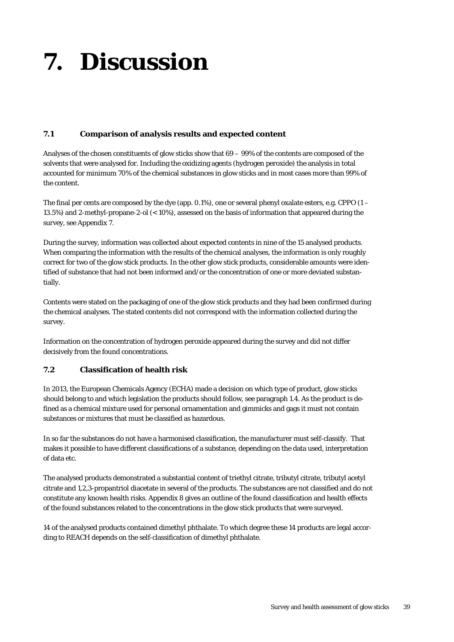# <span id="page-38-0"></span>**7. Discussion**

#### <span id="page-38-1"></span>**7.1 Comparison of analysis results and expected content**

Analyses of the chosen constituents of glow sticks show that 69 – 99% of the contents are composed of the solvents that were analysed for. Including the oxidizing agents (hydrogen peroxide) the analysis in total accounted for minimum 70% of the chemical substances in glow sticks and in most cases more than 99% of the content.

The final per cents are composed by the dye (app. 0.1%), one or several phenyl oxalate esters, e.g. CPPO (1 – 13.5%) and 2-methyl-propane-2-ol (< 10%), assessed on the basis of information that appeared during the survey, see Appendix 7.

During the survey, information was collected about expected contents in nine of the 15 analysed products. When comparing the information with the results of the chemical analyses, the information is only roughly correct for two of the glow stick products. In the other glow stick products, considerable amounts were identified of substance that had not been informed and/or the concentration of one or more deviated substantially.

Contents were stated on the packaging of one of the glow stick products and they had been confirmed during the chemical analyses. The stated contents did not correspond with the information collected during the survey.

Information on the concentration of hydrogen peroxide appeared during the survey and did not differ decisively from the found concentrations.

#### <span id="page-38-2"></span>**7.2 Classification of health risk**

In 2013, the European Chemicals Agency (ECHA) made a decision on which type of product, glow sticks should belong to and which legislation the products should follow, see paragraph 1.4. As the product is defined as a chemical mixture used for personal ornamentation and gimmicks and gags it must not contain substances or mixtures that must be classified as hazardous.

In so far the substances do not have a harmonised classification, the manufacturer must self-classify. That makes it possible to have different classifications of a substance, depending on the data used, interpretation of data etc.

The analysed products demonstrated a substantial content of triethyl citrate, tributyl citrate, tributyl acetyl citrate and 1,2,3-propantriol diacetate in several of the products. The substances are not classified and do not constitute any known health risks. Appendix 8 gives an outline of the found classification and health effects of the found substances related to the concentrations in the glow stick products that were surveyed.

14 of the analysed products contained dimethyl phthalate. To which degree these 14 products are legal according to REACH depends on the self-classification of dimethyl phthalate.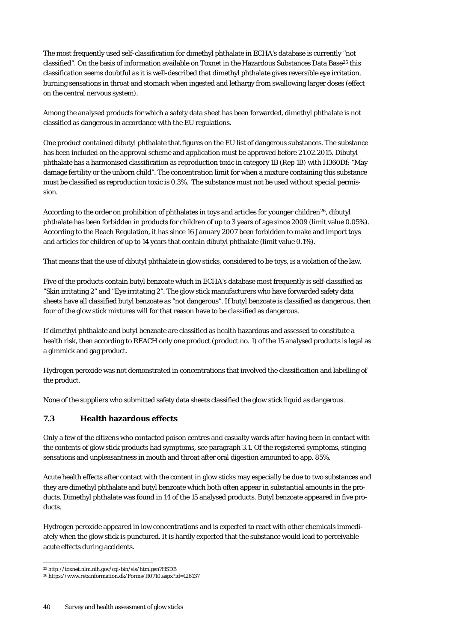The most frequently used self-classification for dimethyl phthalate in ECHA's database is currently "not classified". On the basis of information available on Toxnet in the Hazardous Substances Data Base<sup>[25](#page-23-6)</sup> this classification seems doubtful as it is well-described that dimethyl phthalate gives reversible eye irritation, burning sensations in throat and stomach when ingested and lethargy from swallowing larger doses (effect on the central nervous system).

Among the analysed products for which a safety data sheet has been forwarded, dimethyl phthalate is not classified as dangerous in accordance with the EU regulations.

One product contained dibutyl phthalate that figures on the EU list of dangerous substances. The substance has been included on the approval scheme and application must be approved before 21.02.2015. Dibutyl phthalate has a harmonised classification as reproduction toxic in category 1B (Rep 1B) with H360Df: "May damage fertility or the unborn child". The concentration limit for when a mixture containing this substance must be classified as reproduction toxic is 0.3%. The substance must not be used without special permission.

According to the order on prohibition of phthalates in toys and articles for younger children<sup>26</sup>, dibutyl phthalate has been forbidden in products for children of up to 3 years of age since 2009 (limit value 0.05%). According to the Reach Regulation, it has since 16 January 2007 been forbidden to make and import toys and articles for children of up to 14 years that contain dibutyl phthalate (limit value 0.1%).

That means that the use of dibutyl phthalate in glow sticks, considered to be toys, is a violation of the law.

Five of the products contain butyl benzoate which in ECHA's database most frequently is self-classified as "Skin irritating 2" and "Eye irritating 2". The glow stick manufacturers who have forwarded safety data sheets have all classified butyl benzoate as "not dangerous". If butyl benzoate is classified as dangerous, then four of the glow stick mixtures will for that reason have to be classified as dangerous.

If dimethyl phthalate and butyl benzoate are classified as health hazardous and assessed to constitute a health risk, then according to REACH only one product (product no. 1) of the 15 analysed products is legal as a gimmick and gag product.

Hydrogen peroxide was not demonstrated in concentrations that involved the classification and labelling of the product.

None of the suppliers who submitted safety data sheets classified the glow stick liquid as dangerous.

#### <span id="page-39-0"></span>**7.3 Health hazardous effects**

Only a few of the citizens who contacted poison centres and casualty wards after having been in contact with the contents of glow stick products had symptoms, see paragraph 3.1. Of the registered symptoms, stinging sensations and unpleasantness in mouth and throat after oral digestion amounted to app. 85%.

Acute health effects after contact with the content in glow sticks may especially be due to two substances and they are dimethyl phthalate and butyl benzoate which both often appear in substantial amounts in the products. Dimethyl phthalate was found in 14 of the 15 analysed products. Butyl benzoate appeared in five products.

Hydrogen peroxide appeared in low concentrations and is expected to react with other chemicals immediately when the glow stick is punctured. It is hardly expected that the substance would lead to perceivable acute effects during accidents.

 <sup>25</sup> http://toxnet.nlm.nih.gov/cgi-bin/sis/htmlgen?HSDB

<span id="page-39-1"></span><sup>26</sup> https://www.retsinformation.dk/Forms/R0710.aspx?id=126137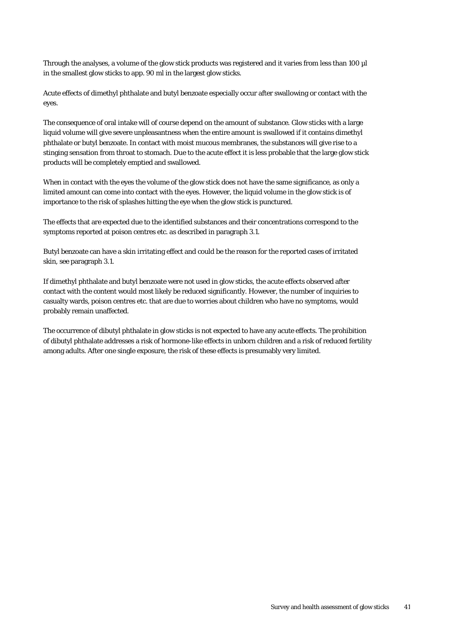Through the analyses, a volume of the glow stick products was registered and it varies from less than 100 µl in the smallest glow sticks to app. 90 ml in the largest glow sticks.

Acute effects of dimethyl phthalate and butyl benzoate especially occur after swallowing or contact with the eyes.

The consequence of oral intake will of course depend on the amount of substance. Glow sticks with a large liquid volume will give severe unpleasantness when the entire amount is swallowed if it contains dimethyl phthalate or butyl benzoate. In contact with moist mucous membranes, the substances will give rise to a stinging sensation from throat to stomach. Due to the acute effect it is less probable that the large glow stick products will be completely emptied and swallowed.

When in contact with the eyes the volume of the glow stick does not have the same significance, as only a limited amount can come into contact with the eyes. However, the liquid volume in the glow stick is of importance to the risk of splashes hitting the eye when the glow stick is punctured.

The effects that are expected due to the identified substances and their concentrations correspond to the symptoms reported at poison centres etc. as described in paragraph 3.1.

Butyl benzoate can have a skin irritating effect and could be the reason for the reported cases of irritated skin, see paragraph 3.1.

If dimethyl phthalate and butyl benzoate were not used in glow sticks, the acute effects observed after contact with the content would most likely be reduced significantly. However, the number of inquiries to casualty wards, poison centres etc. that are due to worries about children who have no symptoms, would probably remain unaffected.

The occurrence of dibutyl phthalate in glow sticks is not expected to have any acute effects. The prohibition of dibutyl phthalate addresses a risk of hormone-like effects in unborn children and a risk of reduced fertility among adults. After one single exposure, the risk of these effects is presumably very limited.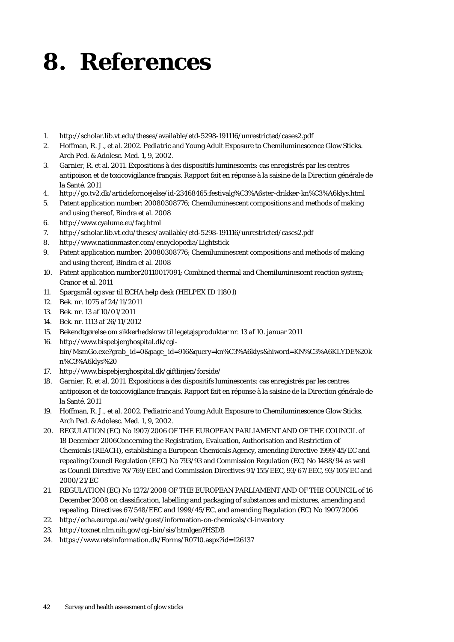## <span id="page-41-0"></span>**8. References**

- 1. http://scholar.lib.vt.edu/theses/available/etd-5298-191116/unrestricted/cases2.pdf
- 2. Hoffman, R. J., et al. 2002. Pediatric and Young Adult Exposure to Chemiluminescence Glow Sticks. Arch Ped. & Adolesc. Med. 1, 9, 2002.
- 3. Garnier, R. et al. 2011. Expositions à des dispositifs luminescents: cas enregistrés par les centres antipoison et de toxicovigilance français. Rapport fait en réponse à la saisine de la Direction générale de la Santé. 2011
- 4. http://go.tv2.dk/articlefornoejelse/id-23468465:festivalg%C3%A6ster-drikker-kn%C3%A6klys.html
- 5. Patent application number: 20080308776; Chemiluminescent compositions and methods of making and using thereof, Bindra et al. 2008
- 6. http://www.cyalume.eu/faq.html
- 7. http://scholar.lib.vt.edu/theses/available/etd-5298-191116/unrestricted/cases2.pdf
- 8. http://www.nationmaster.com/encyclopedia/Lightstick
- 9. Patent application number: 20080308776; Chemiluminescent compositions and methods of making and using thereof, Bindra et al. 2008
- 10. Patent application number20110017091; Combined thermal and Chemiluminescent reaction system; Cranor et al. 2011
- 11. Spørgsmål og svar til ECHA help desk (HELPEX ID 11801)
- 12. Bek. nr. 1075 af 24/11/2011
- 13. Bek. nr. 13 af 10/01/2011
- 14. Bek. nr. 1113 af 26/11/2012
- 15. Bekendtgørelse om sikkerhedskrav til legetøjsprodukter nr. 13 af 10. januar 2011
- 16. http://www.bispebjerghospital.dk/cgibin/MsmGo.exe?grab\_id=0&page\_id=916&query=kn%C3%A6klys&hiword=KN%C3%A6KLYDE%20k n%C3%A6klys%20
- 17. http://www.bispebjerghospital.dk/giftlinjen/forside/
- 18. Garnier, R. et al. 2011. Expositions à des dispositifs luminescents: cas enregistrés par les centres antipoison et de toxicovigilance français. Rapport fait en réponse à la saisine de la Direction générale de la Santé. 2011
- 19. Hoffman, R. J., et al. 2002. Pediatric and Young Adult Exposure to Chemiluminescence Glow Sticks. Arch Ped. & Adolesc. Med. 1, 9, 2002.
- 20. REGULATION (EC) No 1907/2006 OF THE EUROPEAN PARLIAMENT AND OF THE COUNCIL of 18 December 2006Concerning the Registration, Evaluation, Authorisation and Restriction of Chemicals (REACH), establishing a European Chemicals Agency, amending Directive 1999/45/EC and repealing Council Regulation (EEC) No 793/93 and Commission Regulation (EC) No 1488/94 as well as Council Directive 76/769/EEC and Commission Directives 91/155/EEC, 93/67/EEC, 93/105/EC and 2000/21/EC
- 21. REGULATION (EC) No 1272/2008 OF THE EUROPEAN PARLIAMENT AND OF THE COUNCIL of 16 December 2008 on classification, labelling and packaging of substances and mixtures, amending and repealing. Directives 67/548/EEC and 1999/45/EC, and amending Regulation (EC) No 1907/2006
- 22. http://echa.europa.eu/web/guest/information-on-chemicals/cl-inventory
- 23. http://toxnet.nlm.nih.gov/cgi-bin/sis/htmlgen?HSDB
- 24. https://www.retsinformation.dk/Forms/R0710.aspx?id=126137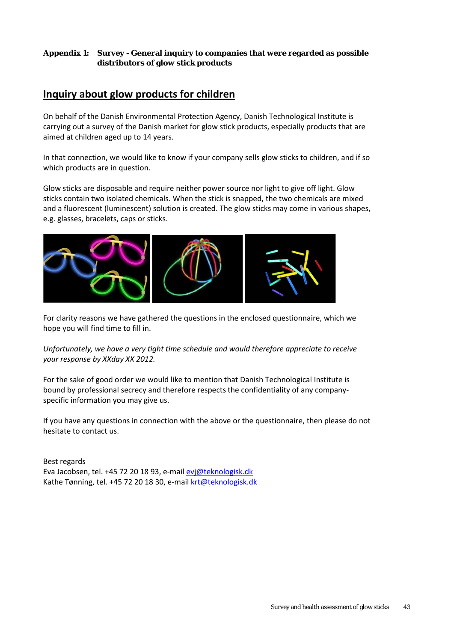#### <span id="page-42-0"></span>**Appendix 1: Survey - General inquiry to companies that were regarded as possible distributors of glow stick products**

### **Inquiry about glow products for children**

On behalf of the Danish Environmental Protection Agency, Danish Technological Institute is carrying out a survey of the Danish market for glow stick products, especially products that are aimed at children aged up to 14 years.

In that connection, we would like to know if your company sells glow sticks to children, and if so which products are in question.

Glow sticks are disposable and require neither power source nor light to give off light. Glow sticks contain two isolated chemicals. When the stick is snapped, the two chemicals are mixed and a fluorescent (luminescent) solution is created. The glow sticks may come in various shapes, e.g. glasses, bracelets, caps or sticks.



For clarity reasons we have gathered the questions in the enclosed questionnaire, which we hope you will find time to fill in.

*Unfortunately, we have a very tight time schedule and would therefore appreciate to receive your response by XXday XX 2012.*

For the sake of good order we would like to mention that Danish Technological Institute is bound by professional secrecy and therefore respects the confidentiality of any companyspecific information you may give us.

If you have any questions in connection with the above or the questionnaire, then please do not hesitate to contact us.

Best regards Eva Jacobsen, tel. +45 72 20 18 93, e-mail [evj@teknologisk.dk](mailto:evj@teknologisk.dk) Kathe Tønning, tel. +45 72 20 18 30, e-mail [krt@teknologisk.dk](mailto:krt@teknologisk.dk)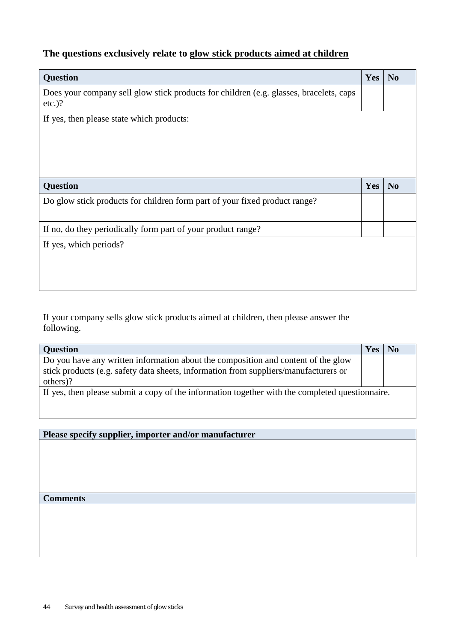## **The questions exclusively relate to glow stick products aimed at children**

| <b>Question</b>                                                                                     | Yes | N <sub>0</sub> |
|-----------------------------------------------------------------------------------------------------|-----|----------------|
| Does your company sell glow stick products for children (e.g. glasses, bracelets, caps<br>$etc.$ )? |     |                |
| If yes, then please state which products:                                                           |     |                |
| <b>Question</b>                                                                                     | Yes | N <sub>0</sub> |
| Do glow stick products for children form part of your fixed product range?                          |     |                |
| If no, do they periodically form part of your product range?                                        |     |                |
| If yes, which periods?                                                                              |     |                |

If your company sells glow stick products aimed at children, then please answer the following.

| Yes | N <sub>0</sub>                                                                                  |
|-----|-------------------------------------------------------------------------------------------------|
|     |                                                                                                 |
|     |                                                                                                 |
|     |                                                                                                 |
|     |                                                                                                 |
|     |                                                                                                 |
|     | If yes, then please submit a copy of the information together with the completed questionnaire. |

### **Please specify supplier, importer and/or manufacturer**

**Comments**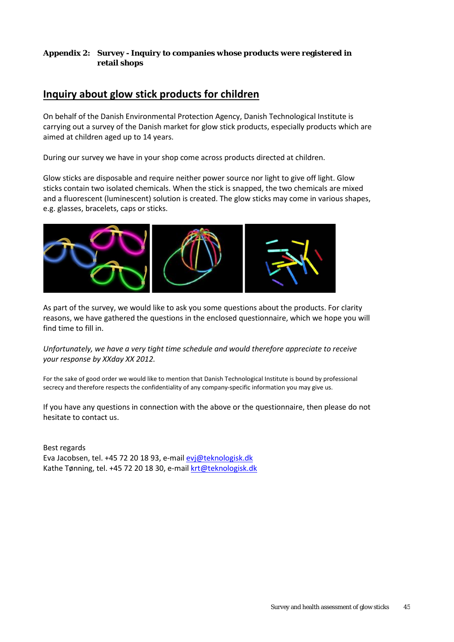#### <span id="page-44-0"></span>**Appendix 2: Survey - Inquiry to companies whose products were registered in retail shops**

### **Inquiry about glow stick products for children**

On behalf of the Danish Environmental Protection Agency, Danish Technological Institute is carrying out a survey of the Danish market for glow stick products, especially products which are aimed at children aged up to 14 years.

During our survey we have in your shop come across products directed at children.

Glow sticks are disposable and require neither power source nor light to give off light. Glow sticks contain two isolated chemicals. When the stick is snapped, the two chemicals are mixed and a fluorescent (luminescent) solution is created. The glow sticks may come in various shapes, e.g. glasses, bracelets, caps or sticks.



As part of the survey, we would like to ask you some questions about the products. For clarity reasons, we have gathered the questions in the enclosed questionnaire, which we hope you will find time to fill in.

*Unfortunately, we have a very tight time schedule and would therefore appreciate to receive your response by XXday XX 2012.*

For the sake of good order we would like to mention that Danish Technological Institute is bound by professional secrecy and therefore respects the confidentiality of any company-specific information you may give us.

If you have any questions in connection with the above or the questionnaire, then please do not hesitate to contact us.

Best regards Eva Jacobsen, tel. +45 72 20 18 93, e-mail [evj@teknologisk.dk](mailto:evj@teknologisk.dk) Kathe Tønning, tel. +45 72 20 18 30, e-mail [krt@teknologisk.dk](mailto:krt@teknologisk.dk)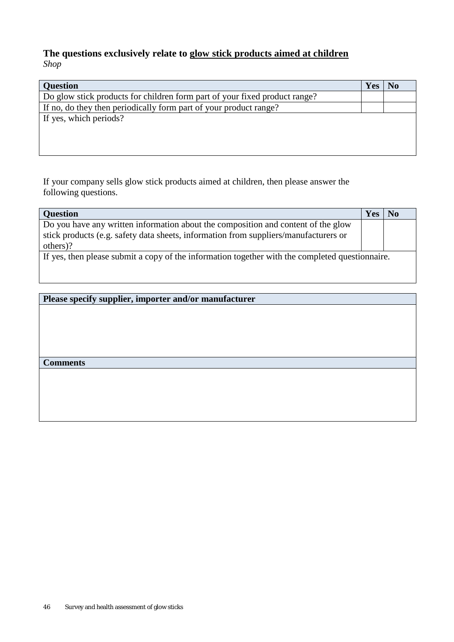### **The questions exclusively relate to glow stick products aimed at children** *Shop*

| <b>Question</b>                                                            | Yes | N <sub>0</sub> |
|----------------------------------------------------------------------------|-----|----------------|
| Do glow stick products for children form part of your fixed product range? |     |                |
| If no, do they then periodically form part of your product range?          |     |                |
| If yes, which periods?                                                     |     |                |
|                                                                            |     |                |
|                                                                            |     |                |
|                                                                            |     |                |

If your company sells glow stick products aimed at children, then please answer the following questions.

| <b>Question</b>                                                                                 | Yes | 'No |
|-------------------------------------------------------------------------------------------------|-----|-----|
| Do you have any written information about the composition and content of the glow               |     |     |
| stick products (e.g. safety data sheets, information from suppliers/manufacturers or            |     |     |
| others)?                                                                                        |     |     |
| If yes, then please submit a copy of the information together with the completed questionnaire. |     |     |

| Please specify supplier, importer and/or manufacturer |  |  |
|-------------------------------------------------------|--|--|
|                                                       |  |  |
|                                                       |  |  |
|                                                       |  |  |
|                                                       |  |  |
|                                                       |  |  |
| <b>Comments</b>                                       |  |  |
|                                                       |  |  |
|                                                       |  |  |
|                                                       |  |  |
|                                                       |  |  |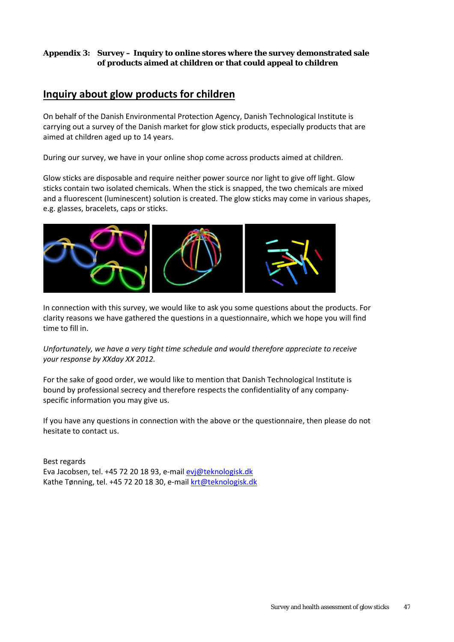#### <span id="page-46-0"></span>**Appendix 3: Survey – Inquiry to online stores where the survey demonstrated sale of products aimed at children or that could appeal to children**

### **Inquiry about glow products for children**

On behalf of the Danish Environmental Protection Agency, Danish Technological Institute is carrying out a survey of the Danish market for glow stick products, especially products that are aimed at children aged up to 14 years.

During our survey, we have in your online shop come across products aimed at children.

Glow sticks are disposable and require neither power source nor light to give off light. Glow sticks contain two isolated chemicals. When the stick is snapped, the two chemicals are mixed and a fluorescent (luminescent) solution is created. The glow sticks may come in various shapes, e.g. glasses, bracelets, caps or sticks.



In connection with this survey, we would like to ask you some questions about the products. For clarity reasons we have gathered the questions in a questionnaire, which we hope you will find time to fill in.

*Unfortunately, we have a very tight time schedule and would therefore appreciate to receive your response by XXday XX 2012.*

For the sake of good order, we would like to mention that Danish Technological Institute is bound by professional secrecy and therefore respects the confidentiality of any companyspecific information you may give us.

If you have any questions in connection with the above or the questionnaire, then please do not hesitate to contact us.

Best regards Eva Jacobsen, tel. +45 72 20 18 93, e-mail [evj@teknologisk.dk](mailto:evj@teknologisk.dk) Kathe Tønning, tel. +45 72 20 18 30, e-mail [krt@teknologisk.dk](mailto:krt@teknologisk.dk)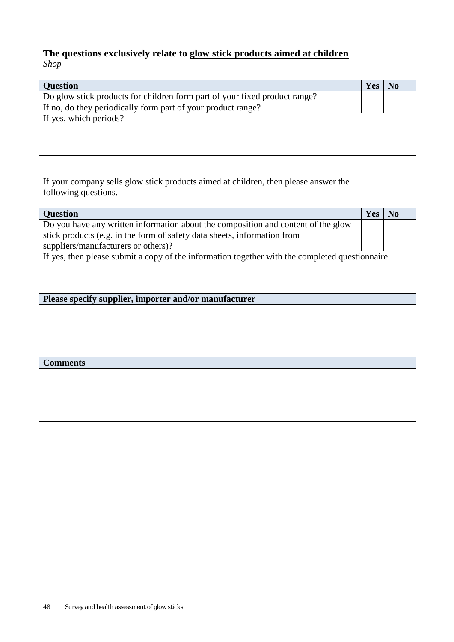### **The questions exclusively relate to glow stick products aimed at children** *Shop*

| <b>Question</b>                                                            | Yes | N <sub>0</sub> |
|----------------------------------------------------------------------------|-----|----------------|
| Do glow stick products for children form part of your fixed product range? |     |                |
| If no, do they periodically form part of your product range?               |     |                |
| If yes, which periods?                                                     |     |                |
|                                                                            |     |                |
|                                                                            |     |                |
|                                                                            |     |                |

If your company sells glow stick products aimed at children, then please answer the following questions.

| <b>Question</b>                                                                                 | Yes |  |
|-------------------------------------------------------------------------------------------------|-----|--|
| Do you have any written information about the composition and content of the glow               |     |  |
| stick products (e.g. in the form of safety data sheets, information from                        |     |  |
| suppliers/manufacturers or others)?                                                             |     |  |
| If yes, then please submit a copy of the information together with the completed questionnaire. |     |  |

| Please specify supplier, importer and/or manufacturer |  |
|-------------------------------------------------------|--|
|                                                       |  |
|                                                       |  |
|                                                       |  |
|                                                       |  |
| <b>Comments</b>                                       |  |
|                                                       |  |
|                                                       |  |
|                                                       |  |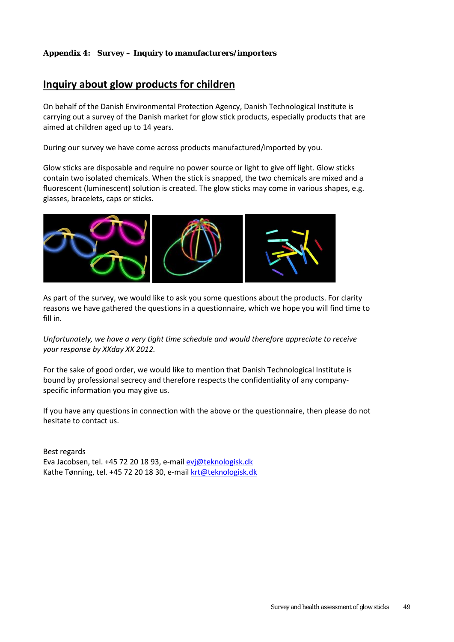#### <span id="page-48-0"></span>**Appendix 4: Survey – Inquiry to manufacturers/importers**

### **Inquiry about glow products for children**

On behalf of the Danish Environmental Protection Agency, Danish Technological Institute is carrying out a survey of the Danish market for glow stick products, especially products that are aimed at children aged up to 14 years.

During our survey we have come across products manufactured/imported by you.

Glow sticks are disposable and require no power source or light to give off light. Glow sticks contain two isolated chemicals. When the stick is snapped, the two chemicals are mixed and a fluorescent (luminescent) solution is created. The glow sticks may come in various shapes, e.g. glasses, bracelets, caps or sticks.



As part of the survey, we would like to ask you some questions about the products. For clarity reasons we have gathered the questions in a questionnaire, which we hope you will find time to fill in.

*Unfortunately, we have a very tight time schedule and would therefore appreciate to receive your response by XXday XX 2012.*

For the sake of good order, we would like to mention that Danish Technological Institute is bound by professional secrecy and therefore respects the confidentiality of any companyspecific information you may give us.

If you have any questions in connection with the above or the questionnaire, then please do not hesitate to contact us.

Best regards Eva Jacobsen, tel. +45 72 20 18 93, e-mail [evj@teknologisk.dk](mailto:evj@teknologisk.dk) Kathe Tønning, tel. +45 72 20 18 30, e-mail [krt@teknologisk.dk](mailto:krt@teknologisk.dk)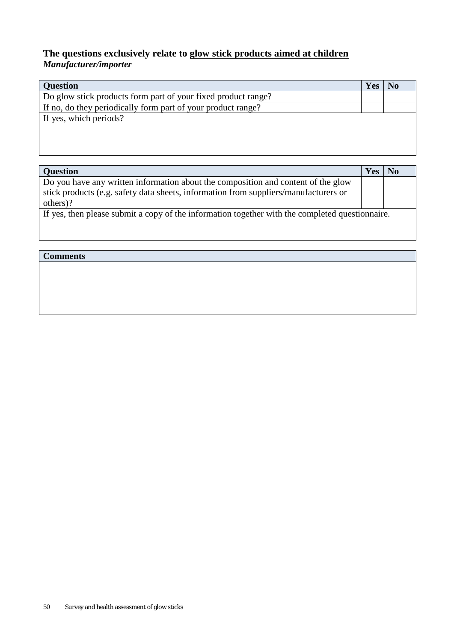## **The questions exclusively relate to glow stick products aimed at children** *Manufacturer/importer*

| <b>Question</b>                                               | Yes | N <sub>0</sub> |
|---------------------------------------------------------------|-----|----------------|
| Do glow stick products form part of your fixed product range? |     |                |
| If no, do they periodically form part of your product range?  |     |                |
| If yes, which periods?                                        |     |                |
|                                                               |     |                |
|                                                               |     |                |
|                                                               |     |                |

| <b>Question</b>                                                                                 | Yes | <b>No</b> |
|-------------------------------------------------------------------------------------------------|-----|-----------|
| Do you have any written information about the composition and content of the glow               |     |           |
| stick products (e.g. safety data sheets, information from suppliers/manufacturers or            |     |           |
| others)?                                                                                        |     |           |
| If yes, then please submit a copy of the information together with the completed questionnaire. |     |           |
|                                                                                                 |     |           |
|                                                                                                 |     |           |

## **Comments**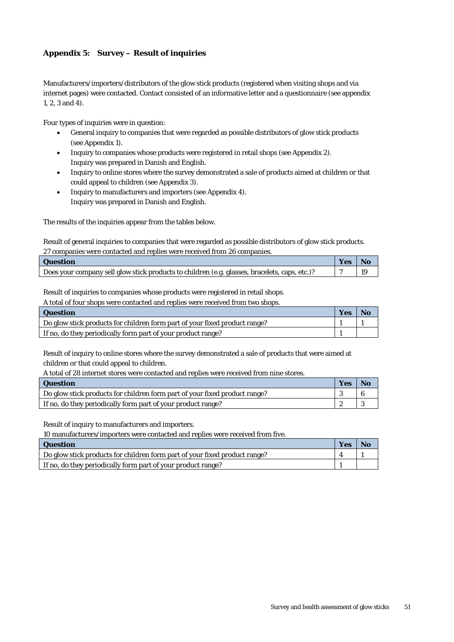#### <span id="page-50-0"></span>**Appendix 5: Survey – Result of inquiries**

Manufacturers/importers/distributors of the glow stick products (registered when visiting shops and via internet pages) were contacted. Contact consisted of an informative letter and a questionnaire (see appendix 1, 2, 3 and 4).

Four types of inquiries were in question:

- General inquiry to companies that were regarded as possible distributors of glow stick products (see Appendix 1).
- Inquiry to companies whose products were registered in retail shops (see Appendix 2). Inquiry was prepared in Danish and English.
- Inquiry to online stores where the survey demonstrated a sale of products aimed at children or that could appeal to children (see Appendix 3).
- Inquiry to manufacturers and importers (see Appendix 4). Inquiry was prepared in Danish and English.

The results of the inquiries appear from the tables below.

Result of general inquiries to companies that were regarded as possible distributors of glow stick products. 27 companies were contacted and replies were received from 26 companies.

| <b>Question</b>                                                                               | No |
|-----------------------------------------------------------------------------------------------|----|
| Does your company sell glow stick products to children (e.g. glasses, bracelets, caps, etc.)? |    |

Result of inquiries to companies whose products were registered in retail shops.

| A total of four shops were contacted and replies were received from two shops. |  |  |
|--------------------------------------------------------------------------------|--|--|
|--------------------------------------------------------------------------------|--|--|

| <b>Question</b>                                                            | Yes | No |
|----------------------------------------------------------------------------|-----|----|
| Do glow stick products for children form part of your fixed product range? |     |    |
| If no, do they periodically form part of your product range?               |     |    |

Result of inquiry to online stores where the survey demonstrated a sale of products that were aimed at children or that could appeal to children.

| A total of 28 internet stores were contacted and replies were received from nine stores. |  |  |
|------------------------------------------------------------------------------------------|--|--|
|------------------------------------------------------------------------------------------|--|--|

| <b>Question</b>                                                            | Yes | <b>No</b> |
|----------------------------------------------------------------------------|-----|-----------|
| Do glow stick products for children form part of your fixed product range? |     |           |
| If no, do they periodically form part of your product range?               |     |           |

Result of inquiry to manufacturers and importers.

10 manufacturers/importers were contacted and replies were received from five.

| <b>Question</b>                                                            | Yes | No |
|----------------------------------------------------------------------------|-----|----|
| Do glow stick products for children form part of your fixed product range? |     |    |
| If no, do they periodically form part of your product range?               |     |    |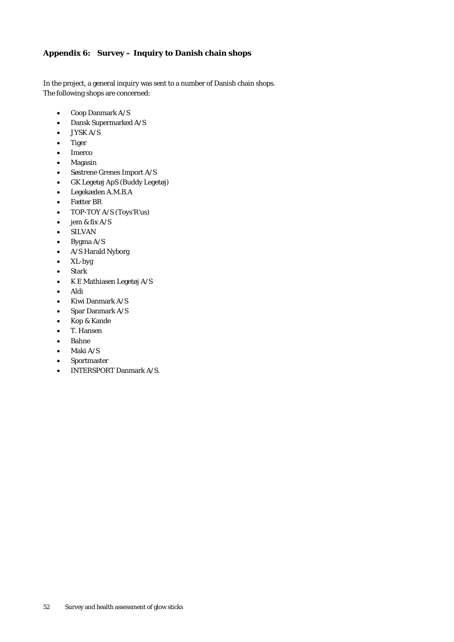#### <span id="page-51-0"></span>**Appendix 6: Survey – Inquiry to Danish chain shops**

In the project, a general inquiry was sent to a number of Danish chain shops. The following shops are concerned:

- Coop Danmark A/S
- Dansk Supermarked A/S
- JYSK A/S
- Tiger
- Imerco
- Magasin
- Søstrene Grenes Import A/S
- GK Legetøj ApS (Buddy Legetøj)
- Legekæden A.M.B.A
- Fætter BR
- TOP-TOY A/S (Toys'R'us)
- jem & fix  $A/S$
- SILVAN
- Bygma A/S
- A/S Harald Nyborg
- XL-byg
- Stark
- K E Mathiasen Legetøj A/S
- Aldi
- Kiwi Danmark A/S
- Spar Danmark A/S
- Kop & Kande
- T. Hansen
- Bahne
- Maki A/S
- Sportmaster
- INTERSPORT Danmark A/S.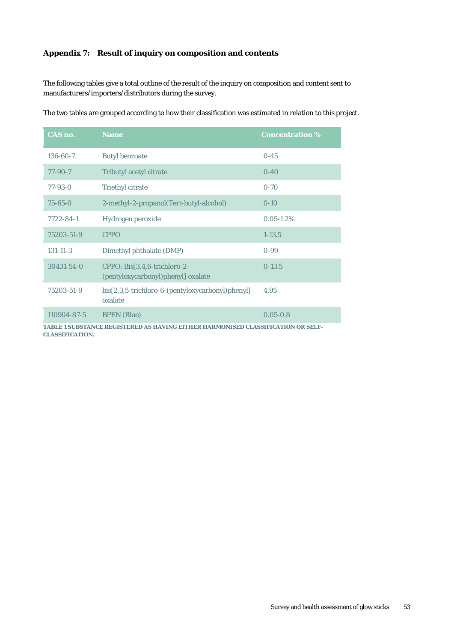#### <span id="page-52-0"></span>**Appendix 7: Result of inquiry on composition and contents**

The following tables give a total outline of the result of the inquiry on composition and content sent to manufacturers/importers/distributors during the survey.

| CAS no.          | <b>Name</b>                                                        | <b>Concentration %</b> |
|------------------|--------------------------------------------------------------------|------------------------|
| $136 - 60 - 7$   | <b>Butyl</b> benzoate                                              | $0 - 45$               |
| $77 - 90 - 7$    | <b>Tributyl acetyl citrate</b>                                     | $0 - 40$               |
| $77-93-0$        | <b>Triethyl citrate</b>                                            | $0 - 70$               |
| $75 - 65 - 0$    | 2-methyl-2-propanol(Tert-butyl-alcohol)                            | $0 - 10$               |
| 7722-84-1        | Hydrogen peroxide                                                  | $0.05 - 1.2\%$         |
| 75203-51-9       | <b>CPPO</b>                                                        | $1 - 13.5$             |
| $131 - 11 - 3$   | Dimethyl phthalate (DMP)                                           | $0 - 99$               |
| $30431 - 54 - 0$ | CPPO: Bis[3,4,6-trichloro-2-<br>(pentyloxycarbonyl) phenyl oxalate | $0-13.5$               |
| 75203-51-9       | bis[2,3,5-trichloro-6-(pentyloxycarbonyl)phenyl]<br>oxalate        | 4.95                   |
| 110904-87-5      | <b>BPEN</b> (Blue)                                                 | $0.05 - 0.8$           |

The two tables are grouped according to how their classification was estimated in relation to this project.

**TABLE 1 SUBSTANCE REGISTERED AS HAVING EITHER HARMONISED CLASSIFICATION OR SELF-CLASSIFICATION.**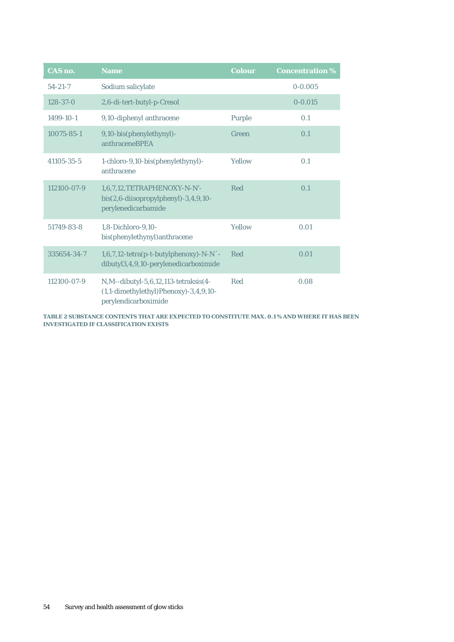| CAS no.           | <b>Name</b>                                                                                           | <b>Colour</b> | <b>Concentration %</b> |
|-------------------|-------------------------------------------------------------------------------------------------------|---------------|------------------------|
| $54 - 21 - 7$     | Sodium salicylate                                                                                     |               | $0 - 0.005$            |
| $128 - 37 - 0$    | 2,6-di-tert-butyl-p-Cresol                                                                            |               | $0 - 0.015$            |
| 1499-10-1         | 9,10-diphenyl anthracene                                                                              | Purple        | 0.1                    |
| $10075 - 85 - 1$  | 9,10-bis(phenylethynyl)-<br>anthraceneBPEA                                                            | Green         | 0.1                    |
| 41105-35-5        | 1-chloro-9,10-bis(phenylethynyl)-<br>anthracene                                                       | Yellow        | 0.1                    |
| $112100 - 07 - 9$ | 1,6,7,12,TETRAPHENOXY-N-N'-<br>bis(2,6-diisopropylphenyl)-3,4,9,10-<br>perylenedicarbamide            | Red           | 0.1                    |
| 51749-83-8        | 1,8-Dichloro-9,10-<br>bis(phenylethynyl)anthracene                                                    | Yellow        | 0.01                   |
| 335654-34-7       | $1,6,7,12$ -tetra(p-t-butylphenoxy)-N-N <sup>-</sup> -<br>dibutyl3,4,9,10-perylenedicarboximide       | Red           | 0.01                   |
| 112100-07-9       | N,M--dibutyl-5,6,12,113-tetraksis(4-<br>(1,1-dimethylethyl)Phenoxy)-3,4,9,10-<br>perylendicarboximide | Red           | 0.08                   |

**TABLE 2 SUBSTANCE CONTENTS THAT ARE EXPECTED TO CONSTITUTE MAX. 0.1 % AND WHERE IT HAS BEEN INVESTIGATED IF CLASSIFICATION EXISTS**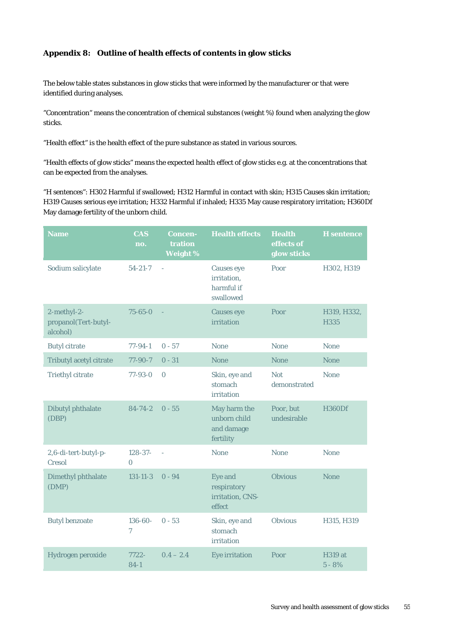#### <span id="page-54-0"></span>**Appendix 8: Outline of health effects of contents in glow sticks**

The below table states substances in glow sticks that were informed by the manufacturer or that were identified during analyses.

"Concentration" means the concentration of chemical substances (weight %) found when analyzing the glow sticks.

"Health effect" is the health effect of the pure substance as stated in various sources.

"Health effects of glow sticks" means the expected health effect of glow sticks e.g. at the concentrations that can be expected from the analyses.

"H sentences": H302 Harmful if swallowed; H312 Harmful in contact with skin; H315 Causes skin irritation; H319 Causes serious eye irritation; H332 Harmful if inhaled; H335 May cause respiratory irritation; H360Df May damage fertility of the unborn child.

| <b>Name</b>                                     | <b>CAS</b><br>no.              | <b>Concen-</b><br>tration<br><b>Weight %</b> | <b>Health effects</b>                                   | <b>Health</b><br>effects of<br>glow sticks | <b>H</b> sentence          |
|-------------------------------------------------|--------------------------------|----------------------------------------------|---------------------------------------------------------|--------------------------------------------|----------------------------|
| Sodium salicylate                               | $54 - 21 - 7$                  |                                              | Causes eye<br>irritation,<br>harmful if<br>swallowed    | Poor                                       | H302, H319                 |
| 2-methyl-2-<br>propanol(Tert-butyl-<br>alcohol) | $75 - 65 - 0$                  |                                              | <b>Causes eye</b><br>irritation                         | Poor                                       | H319, H332,<br>H335        |
| <b>Butyl citrate</b>                            | $77-94-1$                      | $0 - 57$                                     | <b>None</b>                                             | <b>None</b>                                | <b>None</b>                |
| <b>Tributyl acetyl citrate</b>                  | $77 - 90 - 7$                  | $0 - 31$                                     | <b>None</b>                                             | <b>None</b>                                | <b>None</b>                |
| <b>Triethyl citrate</b>                         | $77 - 93 - 0$                  | $\mathbf{0}$                                 | Skin, eye and<br>stomach<br>irritation                  | <b>Not</b><br>demonstrated                 | <b>None</b>                |
| Dibutyl phthalate<br>(DBP)                      | $84 - 74 - 2$                  | $0 - 55$                                     | May harm the<br>unborn child<br>and damage<br>fertility | Poor, but<br>undesirable                   | <b>H360Df</b>              |
| 2,6-di-tert-butyl-p-<br>Cresol                  | $128 - 37 -$<br>$\Omega$       | L,                                           | <b>None</b>                                             | <b>None</b>                                | <b>None</b>                |
| Dimethyl phthalate<br>(DMP)                     | $131 - 11 - 3$                 | $0 - 94$                                     | Eye and<br>respiratory<br>irritation, CNS-<br>effect    | <b>Obvious</b>                             | <b>None</b>                |
| <b>Butyl benzoate</b>                           | $136 - 60 -$<br>$\overline{7}$ | $0 - 53$                                     | Skin, eye and<br>stomach<br>irritation                  | <b>Obvious</b>                             | H315, H319                 |
| Hydrogen peroxide                               | $7722 -$<br>$84-1$             | $0.4 - 2.4$                                  | Eye irritation                                          | Poor                                       | <b>H319</b> at<br>$5 - 8%$ |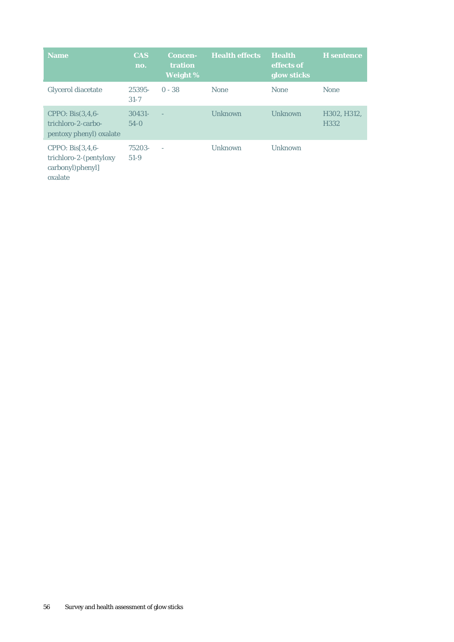| <b>Name</b>                                                                 | <b>CAS</b><br>no.   | <b>Concen-</b><br>tration<br><b>Weight %</b> | <b>Health effects</b> | <b>Health</b><br>effects of<br>glow sticks | <b>H</b> sentence   |
|-----------------------------------------------------------------------------|---------------------|----------------------------------------------|-----------------------|--------------------------------------------|---------------------|
| Glycerol diacetate                                                          | 25395-<br>$31 - 7$  | $0 - 38$                                     | <b>None</b>           | <b>None</b>                                | <b>None</b>         |
| $CPPO: Bis(3,4,6-$<br>trichloro-2-carbo-<br>pentoxy phenyl) oxalate         | $30431 -$<br>$54-0$ |                                              | Unknown               | Unknown                                    | H302, H312.<br>H332 |
| CPPO: $Bis[3,4,6-$<br>trichloro-2-(pentyloxy<br>carbonyl)phenyl]<br>oxalate | 75203-<br>$51-9$    | ÷,                                           | <b>Unknown</b>        | <b>Unknown</b>                             |                     |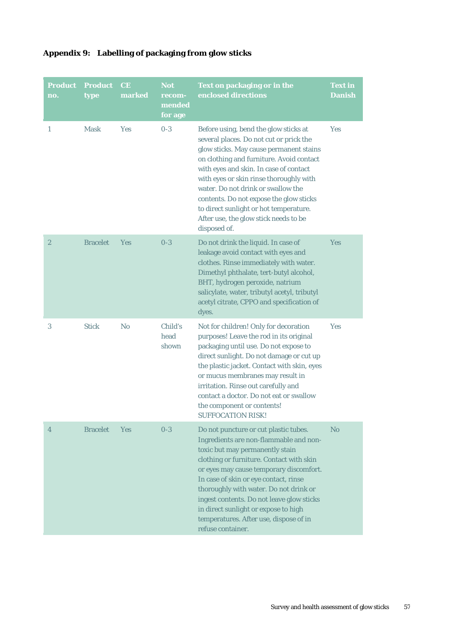| <b>Product</b><br>no. | <b>Product</b><br>type | CЕ<br>marked   | <b>Not</b><br>recom-<br>mended<br>for age | Text on packaging or in the<br>enclosed directions                                                                                                                                                                                                                                                                                                                                                                                               | <b>Text in</b><br><b>Danish</b> |
|-----------------------|------------------------|----------------|-------------------------------------------|--------------------------------------------------------------------------------------------------------------------------------------------------------------------------------------------------------------------------------------------------------------------------------------------------------------------------------------------------------------------------------------------------------------------------------------------------|---------------------------------|
| 1                     | <b>Mask</b>            | <b>Yes</b>     | $0 - 3$                                   | Before using, bend the glow sticks at<br>several places. Do not cut or prick the<br>glow sticks. May cause permanent stains<br>on clothing and furniture. Avoid contact<br>with eyes and skin. In case of contact<br>with eyes or skin rinse thoroughly with<br>water. Do not drink or swallow the<br>contents. Do not expose the glow sticks<br>to direct sunlight or hot temperature.<br>After use, the glow stick needs to be<br>disposed of. | <b>Yes</b>                      |
| $\mathbf{2}$          | <b>Bracelet</b>        | Yes            | $0 - 3$                                   | Do not drink the liquid. In case of<br>leakage avoid contact with eyes and<br>clothes. Rinse immediately with water.<br>Dimethyl phthalate, tert-butyl alcohol,<br>BHT, hydrogen peroxide, natrium<br>salicylate, water, tributyl acetyl, tributyl<br>acetyl citrate, CPPO and specification of<br>dyes.                                                                                                                                         | <b>Yes</b>                      |
| 3                     | <b>Stick</b>           | N <sub>0</sub> | Child's<br>head<br>shown                  | Not for children! Only for decoration<br>purposes! Leave the rod in its original<br>packaging until use. Do not expose to<br>direct sunlight. Do not damage or cut up<br>the plastic jacket. Contact with skin, eyes<br>or mucus membranes may result in<br>irritation. Rinse out carefully and<br>contact a doctor. Do not eat or swallow<br>the component or contents!<br><b>SUFFOCATION RISK!</b>                                             | <b>Yes</b>                      |
| $\overline{4}$        | <b>Bracelet</b>        | <b>Yes</b>     | $0 - 3$                                   | Do not puncture or cut plastic tubes.<br>Ingredients are non-flammable and non-<br>toxic but may permanently stain<br>clothing or furniture. Contact with skin<br>or eyes may cause temporary discomfort.<br>In case of skin or eye contact, rinse<br>thoroughly with water. Do not drink or<br>ingest contents. Do not leave glow sticks<br>in direct sunlight or expose to high<br>temperatures. After use, dispose of in<br>refuse container. | No                              |

## <span id="page-56-0"></span>**Appendix 9: Labelling of packaging from glow sticks**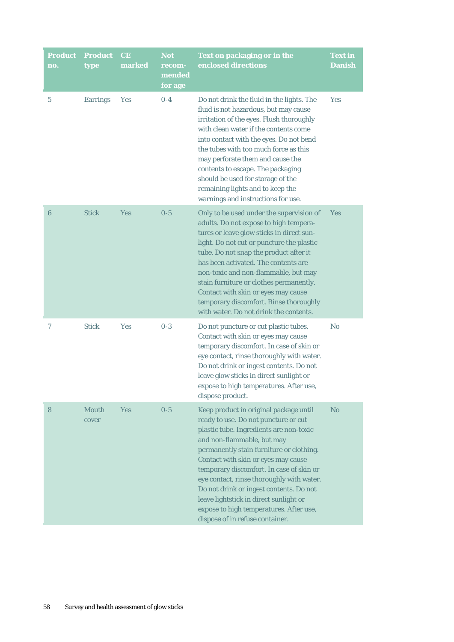| <b>Product</b><br>no. | <b>Product</b><br>type | CЕ<br>marked | <b>Not</b><br>recom-<br>mended<br>for age | Text on packaging or in the<br>enclosed directions                                                                                                                                                                                                                                                                                                                                                                                                                                                     | <b>Text in</b><br><b>Danish</b> |
|-----------------------|------------------------|--------------|-------------------------------------------|--------------------------------------------------------------------------------------------------------------------------------------------------------------------------------------------------------------------------------------------------------------------------------------------------------------------------------------------------------------------------------------------------------------------------------------------------------------------------------------------------------|---------------------------------|
| 5                     | <b>Earrings</b>        | <b>Yes</b>   | $0 - 4$                                   | Do not drink the fluid in the lights. The<br>fluid is not hazardous, but may cause<br>irritation of the eyes. Flush thoroughly<br>with clean water if the contents come<br>into contact with the eyes. Do not bend<br>the tubes with too much force as this<br>may perforate them and cause the<br>contents to escape. The packaging<br>should be used for storage of the<br>remaining lights and to keep the<br>warnings and instructions for use.                                                    | <b>Yes</b>                      |
| $\boldsymbol{6}$      | <b>Stick</b>           | <b>Yes</b>   | $0 - 5$                                   | Only to be used under the supervision of<br>adults. Do not expose to high tempera-<br>tures or leave glow sticks in direct sun-<br>light. Do not cut or puncture the plastic<br>tube. Do not snap the product after it<br>has been activated. The contents are<br>non-toxic and non-flammable, but may<br>stain furniture or clothes permanently.<br>Contact with skin or eyes may cause<br>temporary discomfort. Rinse thoroughly<br>with water. Do not drink the contents.                           | <b>Yes</b>                      |
| 7                     | <b>Stick</b>           | <b>Yes</b>   | $0 - 3$                                   | Do not puncture or cut plastic tubes.<br>Contact with skin or eyes may cause<br>temporary discomfort. In case of skin or<br>eye contact, rinse thoroughly with water.<br>Do not drink or ingest contents. Do not<br>leave glow sticks in direct sunlight or<br>expose to high temperatures. After use,<br>dispose product.                                                                                                                                                                             | No                              |
| 8                     | Mouth<br>cover         | <b>Yes</b>   | $0 - 5$                                   | Keep product in original package until<br>ready to use. Do not puncture or cut<br>plastic tube. Ingredients are non-toxic<br>and non-flammable, but may<br>permanently stain furniture or clothing.<br>Contact with skin or eyes may cause<br>temporary discomfort. In case of skin or<br>eye contact, rinse thoroughly with water.<br>Do not drink or ingest contents. Do not<br>leave lightstick in direct sunlight or<br>expose to high temperatures. After use,<br>dispose of in refuse container. | No                              |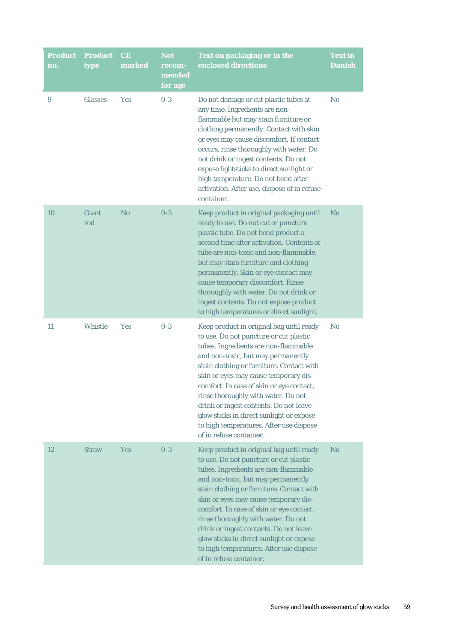| <b>Product</b><br>no. | <b>Product</b><br>type | CE.<br>marked | <b>Not</b><br>recom-<br>mended<br>for age | Text on packaging or in the<br>enclosed directions                                                                                                                                                                                                                                                                                                                                                                                                                                                    | <b>Text in</b><br><b>Danish</b> |
|-----------------------|------------------------|---------------|-------------------------------------------|-------------------------------------------------------------------------------------------------------------------------------------------------------------------------------------------------------------------------------------------------------------------------------------------------------------------------------------------------------------------------------------------------------------------------------------------------------------------------------------------------------|---------------------------------|
| 9                     | <b>Glasses</b>         | <b>Yes</b>    | $0 - 3$                                   | Do not damage or cut plastic tubes at<br>any time. Ingredients are non-<br>flammable but may stain furniture or<br>clothing permanently. Contact with skin<br>or eyes may cause discomfort. If contact<br>occurs, rinse thoroughly with water. Do<br>not drink or ingest contents. Do not<br>expose lightsticks to direct sunlight or<br>high temperature. Do not bend after<br>activation. After use, dispose of in refuse<br>container.                                                             | N <sub>0</sub>                  |
| 10                    | <b>Giant</b><br>rod    | No            | $0 - 5$                                   | Keep product in original packaging until<br>ready to use. Do not cut or puncture<br>plastic tube. Do not bend product a<br>second time after activation. Contents of<br>tube are non-toxic and non-flammable,<br>but may stain furniture and clothing<br>permanently. Skin or eye contact may<br>cause temporary discomfort. Rinse<br>thoroughly with water. Do not drink or<br>ingest contents. Do not expose product<br>to high temperatures or direct sunlight.                                    | No                              |
| 11                    | Whistle                | <b>Yes</b>    | $0 - 3$                                   | Keep product in original bag until ready<br>to use. Do not puncture or cut plastic<br>tubes. Ingredients are non-flammable<br>and non-toxic, but may permanently<br>stain clothing or furniture. Contact with<br>skin or eyes may cause temporary dis-<br>comfort. In case of skin or eye contact,<br>rinse thoroughly with water. Do not<br>drink or ingest contents. Do not leave<br>glow sticks in direct sunlight or expose<br>to high temperatures. After use dispose<br>of in refuse container. | N <sub>0</sub>                  |
| 12                    | <b>Straw</b>           | Yes           | $0 - 3$                                   | Keep product in original bag until ready<br>to use. Do not puncture or cut plastic<br>tubes. Ingredients are non-flammable<br>and non-toxic, but may permanently<br>stain clothing or furniture. Contact with<br>skin or eyes may cause temporary dis-<br>comfort. In case of skin or eye contact,<br>rinse thoroughly with water. Do not<br>drink or ingest contents. Do not leave<br>glow sticks in direct sunlight or expose<br>to high temperatures. After use dispose<br>of in refuse container. | No                              |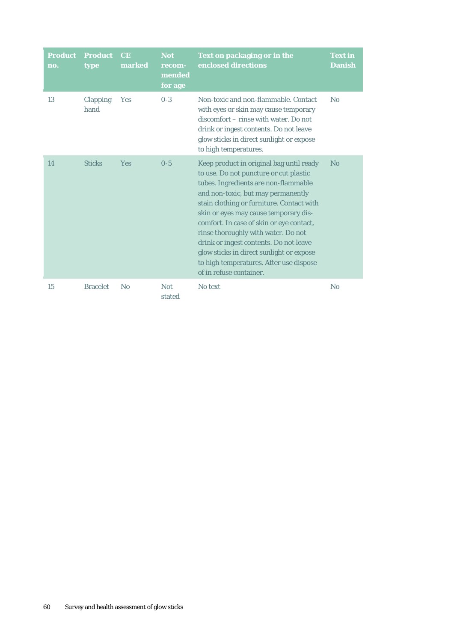| <b>Product</b><br>no. | <b>Product</b><br>type  | CE<br>marked | <b>Not</b><br>recom-<br>mended<br>for age | Text on packaging or in the<br>enclosed directions                                                                                                                                                                                                                                                                                                                                                                                                                                                    | <b>Text in</b><br><b>Danish</b> |
|-----------------------|-------------------------|--------------|-------------------------------------------|-------------------------------------------------------------------------------------------------------------------------------------------------------------------------------------------------------------------------------------------------------------------------------------------------------------------------------------------------------------------------------------------------------------------------------------------------------------------------------------------------------|---------------------------------|
| 13                    | <b>Clapping</b><br>hand | Yes          | $0 - 3$                                   | Non-toxic and non-flammable. Contact<br>with eyes or skin may cause temporary<br>discomfort – rinse with water. Do not<br>drink or ingest contents. Do not leave<br>glow sticks in direct sunlight or expose<br>to high temperatures.                                                                                                                                                                                                                                                                 | N <sub>0</sub>                  |
| 14                    | <b>Sticks</b>           | <b>Yes</b>   | $0 - 5$                                   | Keep product in original bag until ready<br>to use. Do not puncture or cut plastic<br>tubes. Ingredients are non-flammable<br>and non-toxic, but may permanently<br>stain clothing or furniture. Contact with<br>skin or eyes may cause temporary dis-<br>comfort. In case of skin or eye contact,<br>rinse thoroughly with water. Do not<br>drink or ingest contents. Do not leave<br>glow sticks in direct sunlight or expose<br>to high temperatures. After use dispose<br>of in refuse container. | No                              |
| 15                    | <b>Bracelet</b>         | No           | <b>Not</b><br>stated                      | No text                                                                                                                                                                                                                                                                                                                                                                                                                                                                                               | N <sub>0</sub>                  |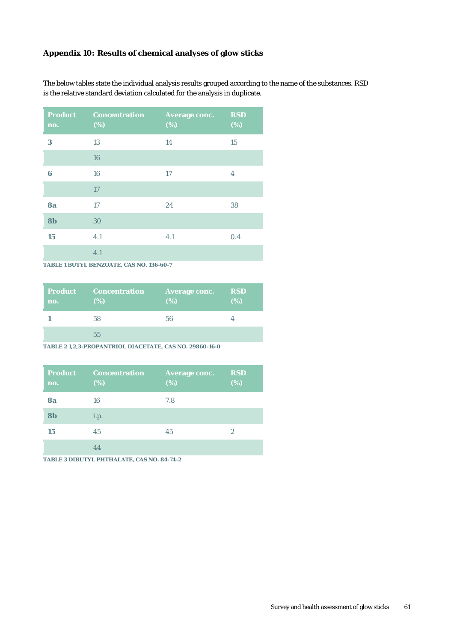#### <span id="page-60-0"></span>**Appendix 10: Results of chemical analyses of glow sticks**

The below tables state the individual analysis results grouped according to the name of the substances. RSD is the relative standard deviation calculated for the analysis in duplicate.

| <b>Product</b><br>no. | <b>Concentration</b><br>(%) | <b>Average conc.</b><br>(%) | <b>RSD</b><br>$(\frac{6}{6})$ |
|-----------------------|-----------------------------|-----------------------------|-------------------------------|
| 3                     | 13                          | 14                          | 15                            |
|                       | 16                          |                             |                               |
| 6                     | 16                          | 17                          | 4                             |
|                       | 17                          |                             |                               |
| <b>8a</b>             | 17                          | 24                          | 38                            |
| <b>8b</b>             | 30                          |                             |                               |
| 15                    | 4.1                         | 4.1                         | 0.4                           |
|                       | 4.1                         |                             |                               |

**TABLE 1 BUTYL BENZOATE, CAS NO. 136-60-7**

| <b>Product</b><br>no. | <b>Concentration</b><br>(%) | <b>Average conc.</b><br>(%) | <b>RSD</b><br>$(\sqrt[6]{\circ})$ |
|-----------------------|-----------------------------|-----------------------------|-----------------------------------|
|                       | 58                          | 56                          |                                   |
|                       | $55\,$                      |                             |                                   |

**TABLE 2 1,2,3-PROPANTRIOL DIACETATE, CAS NO. 29860-16-0**

| <b>Product</b><br>no. | <b>Concentration</b><br>(%) | Average conc.<br>(%) | <b>RSD</b><br>(%) |
|-----------------------|-----------------------------|----------------------|-------------------|
| 8a                    | 16                          | 7.8                  |                   |
| 8 <sub>b</sub>        | i.p.                        |                      |                   |
| 15                    | 45                          | 45                   | $\overline{2}$    |
|                       | 44                          |                      |                   |

**TABLE 3 DIBUTYL PHTHALATE, CAS NO. 84-74-2**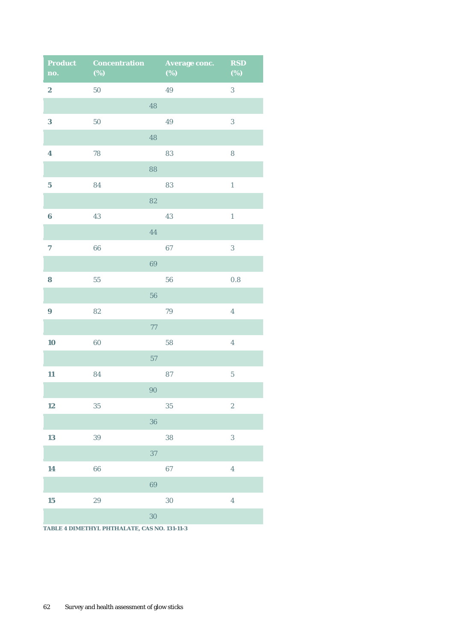| no.                     | (%) |        | <b>Product Concentration Average conc. RSD</b><br>(%) | (%)                     |
|-------------------------|-----|--------|-------------------------------------------------------|-------------------------|
| $\boldsymbol{2}$        | 50  |        | 49                                                    | $\overline{3}$          |
|                         |     | 48     |                                                       |                         |
| 3                       | 50  |        | 49                                                    | 3                       |
|                         |     | 48     |                                                       |                         |
| $\overline{\mathbf{4}}$ | 78  |        | 83                                                    | 8                       |
|                         |     | 88     |                                                       |                         |
| $\mathbf 5$             | 84  |        | 83                                                    | $\mathbf 1$             |
|                         |     | 82     |                                                       |                         |
| $\bf{6}$                | 43  |        | 43                                                    | $\mathbf{1}$            |
|                         |     | 44     |                                                       |                         |
| $\pmb{7}$               | 66  |        | 67                                                    | $\sqrt{3}$              |
|                         |     | 69     |                                                       |                         |
| 8                       | 55  |        | 56                                                    | 0.8                     |
|                         |     | 56     |                                                       |                         |
| $\boldsymbol{9}$        | 82  |        | 79                                                    | $\overline{\mathbf{4}}$ |
|                         |     | $77\,$ |                                                       |                         |
| 10                      | 60  |        | 58                                                    | $\overline{\mathbf{4}}$ |
|                         |     | 57     |                                                       |                         |
| 11                      | 84  |        | 87                                                    | $\bf 5$                 |
|                         |     | 90     |                                                       |                         |
| 12                      | 35  |        | 35                                                    | $\overline{c}$          |
|                         |     | 36     |                                                       |                         |
| 13                      | 39  |        | 38                                                    | 3                       |
|                         |     | 37     |                                                       |                         |
| 14                      | 66  |        | 67                                                    | $\overline{\mathbf{4}}$ |
|                         |     | 69     |                                                       |                         |
| 15                      | 29  |        | 30                                                    | $\overline{\mathbf{4}}$ |
|                         |     | 30     |                                                       |                         |

**TABLE 4 DIMETHYL PHTHALATE, CAS NO. 131-11-3**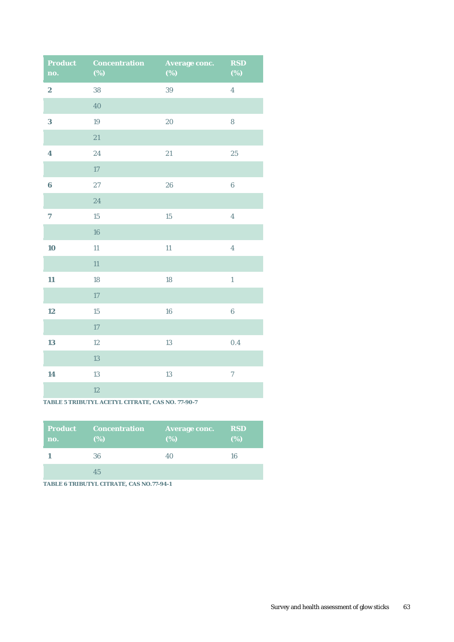| <b>Product</b><br>no.   | <b>Concentration</b><br>$(\%)$ | <b>Average conc.</b><br>$(\%)$ | <b>RSD</b><br>$(\%)$    |
|-------------------------|--------------------------------|--------------------------------|-------------------------|
| $\boldsymbol{2}$        | 38                             | 39                             | $\overline{\mathbf{4}}$ |
|                         | 40                             |                                |                         |
| $\bf{3}$                | 19                             | 20                             | 8                       |
|                         | 21                             |                                |                         |
| $\overline{\mathbf{4}}$ | 24                             | 21                             | 25                      |
|                         | $17\,$                         |                                |                         |
| $\bf{6}$                | 27                             | 26                             | $\boldsymbol{6}$        |
|                         | 24                             |                                |                         |
| $\pmb{7}$               | 15                             | 15                             | $\overline{\mathbf{4}}$ |
|                         | 16                             |                                |                         |
| 10                      | 11                             | 11                             | $\overline{\mathbf{4}}$ |
|                         | 11                             |                                |                         |
| 11                      | 18                             | 18                             | $\mathbf{1}$            |
|                         | 17                             |                                |                         |
| 12                      | 15                             | 16                             | $\boldsymbol{6}$        |
|                         | 17                             |                                |                         |
| 13                      | 12                             | 13                             | 0.4                     |
|                         | 13                             |                                |                         |
| 14                      | 13                             | 13                             | $\overline{7}$          |
|                         | 12                             |                                |                         |

**TABLE 5 TRIBUTYL ACETYL CITRATE, CAS NO. 77-90-7**

| <b>Product</b><br>no. | <b>Concentration</b><br>(%) | <b>Average conc.</b><br>(%) | <b>RSD</b><br>(%) |
|-----------------------|-----------------------------|-----------------------------|-------------------|
|                       | 36                          | 40                          | 16                |
|                       | 45                          |                             |                   |

**TABLE 6 TRIBUTYL CITRATE, CAS NO.77-94-1**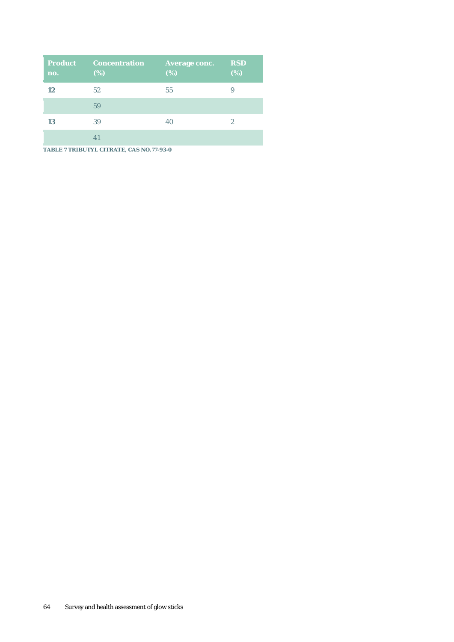| <b>Product</b><br>no. | <b>Concentration</b><br>(%) | Average conc.<br>(%) | <b>RSD</b><br>(%) |
|-----------------------|-----------------------------|----------------------|-------------------|
| 12                    | 52                          | 55                   | 9                 |
|                       | 59                          |                      |                   |
| 13                    | 39                          | 40                   | 2                 |
|                       |                             |                      |                   |

**TABLE 7 TRIBUTYL CITRATE, CAS NO.77-93-0**